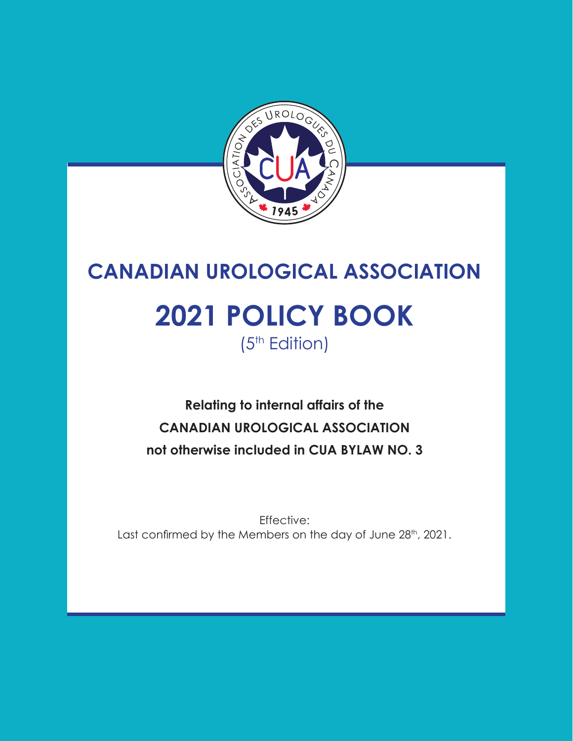

# **CANADIAN UROLOGICAL ASSOCIATION 2021 POLICY BOOK** (5<sup>th</sup> Edition)

**Relating to internal affairs of the CANADIAN UROLOGICAL ASSOCIATION not otherwise included in CUA BYLAW NO. 3**

Effective: Last confirmed by the Members on the day of June 28<sup>th</sup>, 2021.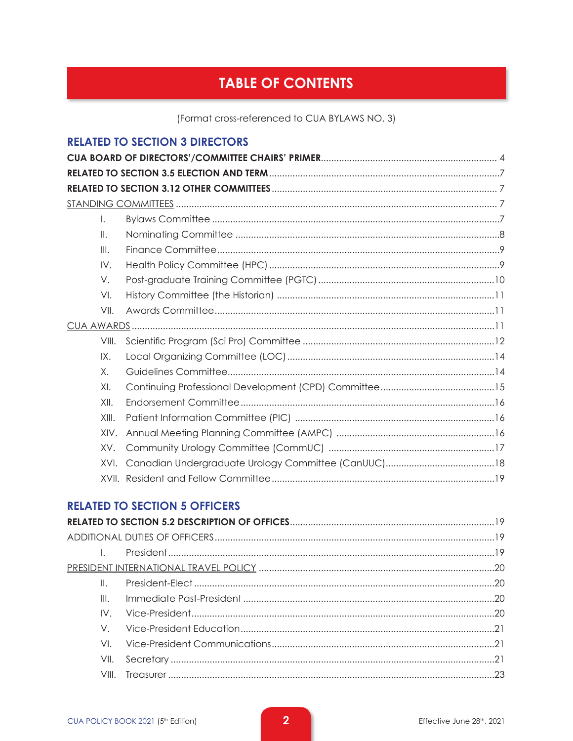# **TABLE OF CONTENTS**

(Format cross-referenced to CUA BYLAWS NO. 3)

# **RELATED TO SECTION 3 DIRECTORS**

| L.    |  |
|-------|--|
| Ⅱ.    |  |
| III.  |  |
| IV.   |  |
| V.    |  |
| VI.   |  |
| VII.  |  |
|       |  |
| VIII. |  |
| IX.   |  |
| Χ.    |  |
| XI.   |  |
| XII.  |  |
| XIII. |  |
| XIV.  |  |
| XV.   |  |
| XVI.  |  |
|       |  |

# **RELATED TO SECTION 5 OFFICERS**

| $\mathbb{L}$ |  |
|--------------|--|
| III.         |  |
| IV           |  |
| V —          |  |
| VI           |  |
| VII.         |  |
| VIII -       |  |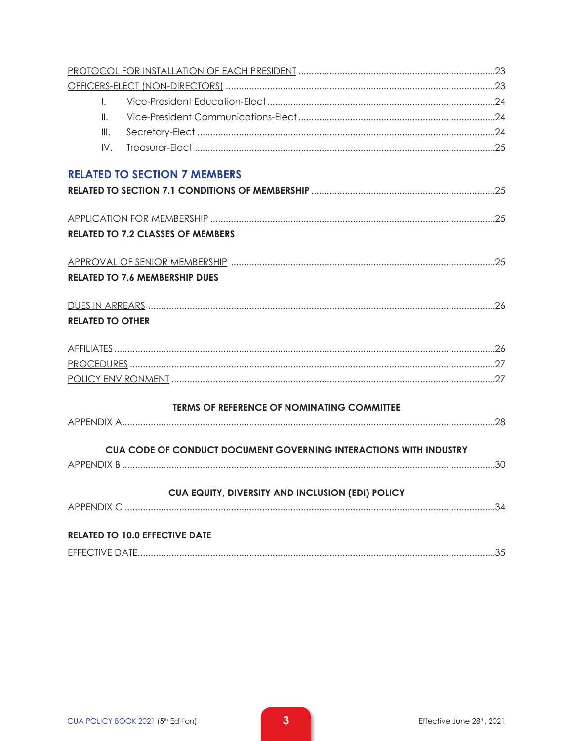| $\mathbf{L}$            |                                                                   |  |
|-------------------------|-------------------------------------------------------------------|--|
| $\mathbb{I}$ .          |                                                                   |  |
| III.                    |                                                                   |  |
| IV.                     |                                                                   |  |
|                         | <b>RELATED TO SECTION 7 MEMBERS</b>                               |  |
|                         |                                                                   |  |
|                         |                                                                   |  |
|                         | <b>RELATED TO 7.2 CLASSES OF MEMBERS</b>                          |  |
|                         |                                                                   |  |
|                         | <b>RELATED TO 7.6 MEMBERSHIP DUES</b>                             |  |
|                         |                                                                   |  |
| <b>RELATED TO OTHER</b> |                                                                   |  |
|                         |                                                                   |  |
|                         |                                                                   |  |
|                         |                                                                   |  |
|                         | <b>TERMS OF REFERENCE OF NOMINATING COMMITTEE</b>                 |  |
|                         |                                                                   |  |
|                         | CUA CODE OF CONDUCT DOCUMENT GOVERNING INTERACTIONS WITH INDUSTRY |  |
|                         |                                                                   |  |
|                         | CUA EQUITY, DIVERSITY AND INCLUSION (EDI) POLICY                  |  |
|                         |                                                                   |  |
|                         | <b>RELATED TO 10.0 EFFECTIVE DATE</b>                             |  |
|                         |                                                                   |  |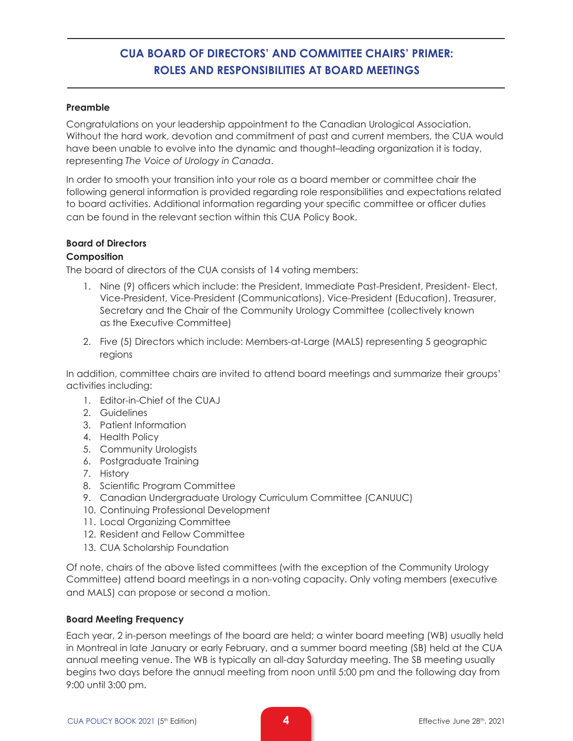# **CUA BOARD OF DIRECTORS' AND COMMITTEE CHAIRS' PRIMER: ROLES AND RESPONSIBILITIES AT BOARD MEETINGS**

#### **Preamble**

Congratulations on your leadership appointment to the Canadian Urological Association. Without the hard work, devotion and commitment of past and current members, the CUA would have been unable to evolve into the dynamic and thought–leading organization it is today, representing *The Voice of Urology in Canada*.

In order to smooth your transition into your role as a board member or committee chair the following general information is provided regarding role responsibilities and expectations related to board activities. Additional information regarding your specific committee or officer duties can be found in the relevant section within this CUA Policy Book.

#### **Board of Directors**

#### **Composition**

The board of directors of the CUA consists of 14 voting members:

- 1. Nine (9) officers which include: the President, Immediate Past-President, President- Elect, Vice-President, Vice-President (Communications), Vice-President (Education), Treasurer, Secretary and the Chair of the Community Urology Committee (collectively known as the Executive Committee)
- 2. Five (5) Directors which include: Members-at-Large (MALS) representing 5 geographic regions

In addition, committee chairs are invited to attend board meetings and summarize their groups' activities including:

- 1. Editor-in-Chief of the CUAJ
- 2. Guidelines
- 3. Patient Information
- 4. Health Policy
- 5. Community Urologists
- 6. Postgraduate Training
- 7. History
- 8. Scientific Program Committee
- 9. Canadian Undergraduate Urology Curriculum Committee (CANUUC)
- 10. Continuing Professional Development
- 11. Local Organizing Committee
- 12. Resident and Fellow Committee
- 13. CUA Scholarship Foundation

Of note, chairs of the above listed committees (with the exception of the Community Urology Committee) attend board meetings in a non-voting capacity. Only voting members (executive and MALS) can propose or second a motion.

#### **Board Meeting Frequency**

Each year, 2 in-person meetings of the board are held; a winter board meeting (WB) usually held in Montreal in late January or early February, and a summer board meeting (SB) held at the CUA annual meeting venue. The WB is typically an all-day Saturday meeting. The SB meeting usually begins two days before the annual meeting from noon until 5:00 pm and the following day from 9:00 until 3:00 pm.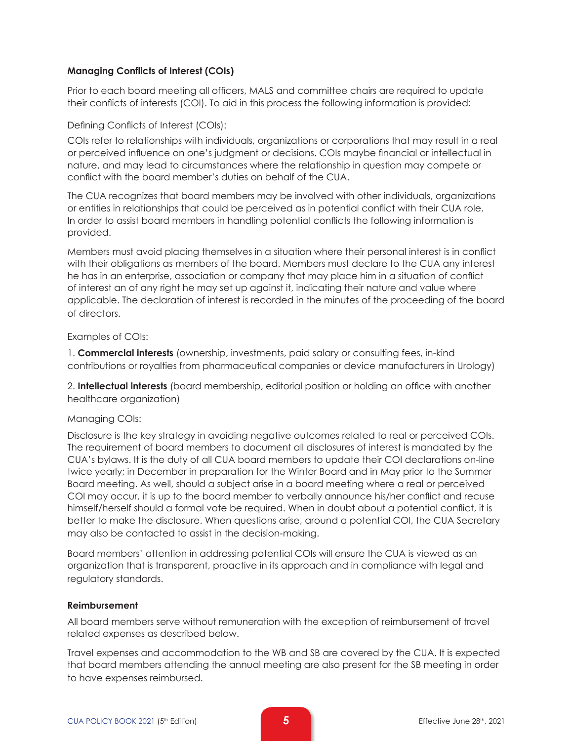#### **Managing Conflicts of Interest (COIs)**

Prior to each board meeting all officers, MALS and committee chairs are required to update their conflicts of interests (COI). To aid in this process the following information is provided:

#### Defining Conflicts of Interest (COIs):

COIs refer to relationships with individuals, organizations or corporations that may result in a real or perceived influence on one's judgment or decisions. COIs maybe financial or intellectual in nature, and may lead to circumstances where the relationship in question may compete or conflict with the board member's duties on behalf of the CUA.

The CUA recognizes that board members may be involved with other individuals, organizations or entities in relationships that could be perceived as in potential conflict with their CUA role. In order to assist board members in handling potential conflicts the following information is provided.

Members must avoid placing themselves in a situation where their personal interest is in conflict with their obligations as members of the board. Members must declare to the CUA any interest he has in an enterprise, association or company that may place him in a situation of conflict of interest an of any right he may set up against it, indicating their nature and value where applicable. The declaration of interest is recorded in the minutes of the proceeding of the board of directors.

#### Examples of COIs:

1. **Commercial interests** (ownership, investments, paid salary or consulting fees, in-kind contributions or royalties from pharmaceutical companies or device manufacturers in Urology)

2. **Intellectual interests** (board membership, editorial position or holding an office with another healthcare organization)

### Managing COIs:

Disclosure is the key strategy in avoiding negative outcomes related to real or perceived COIs. The requirement of board members to document all disclosures of interest is mandated by the CUA's bylaws. It is the duty of all CUA board members to update their COI declarations on-line twice yearly; in December in preparation for the Winter Board and in May prior to the Summer Board meeting. As well, should a subject arise in a board meeting where a real or perceived COI may occur, it is up to the board member to verbally announce his/her conflict and recuse himself/herself should a formal vote be required. When in doubt about a potential conflict, it is better to make the disclosure. When questions arise, around a potential COI, the CUA Secretary may also be contacted to assist in the decision-making.

Board members' attention in addressing potential COIs will ensure the CUA is viewed as an organization that is transparent, proactive in its approach and in compliance with legal and regulatory standards.

#### **Reimbursement**

All board members serve without remuneration with the exception of reimbursement of travel related expenses as described below.

Travel expenses and accommodation to the WB and SB are covered by the CUA. It is expected that board members attending the annual meeting are also present for the SB meeting in order to have expenses reimbursed.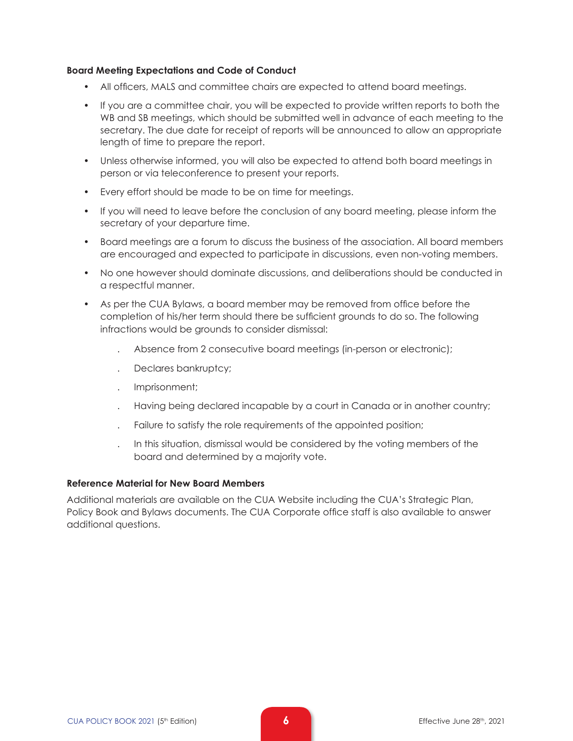#### **Board Meeting Expectations and Code of Conduct**

- All officers, MALS and committee chairs are expected to attend board meetings.
- If you are a committee chair, you will be expected to provide written reports to both the WB and SB meetings, which should be submitted well in advance of each meeting to the secretary. The due date for receipt of reports will be announced to allow an appropriate length of time to prepare the report.
- Unless otherwise informed, you will also be expected to attend both board meetings in person or via teleconference to present your reports.
- Every effort should be made to be on time for meetings.
- If you will need to leave before the conclusion of any board meeting, please inform the secretary of your departure time.
- Board meetings are a forum to discuss the business of the association. All board members are encouraged and expected to participate in discussions, even non-voting members.
- No one however should dominate discussions, and deliberations should be conducted in a respectful manner.
- As per the CUA Bylaws, a board member may be removed from office before the completion of his/her term should there be sufficient grounds to do so. The following infractions would be grounds to consider dismissal:
	- . Absence from 2 consecutive board meetings (in-person or electronic);
	- . Declares bankruptcy;
	- . Imprisonment;
	- . Having being declared incapable by a court in Canada or in another country;
	- . Failure to satisfy the role requirements of the appointed position;
	- . In this situation, dismissal would be considered by the voting members of the board and determined by a majority vote.

#### **Reference Material for New Board Members**

Additional materials are available on the CUA Website including the CUA's Strategic Plan, Policy Book and Bylaws documents. The CUA Corporate office staff is also available to answer additional questions.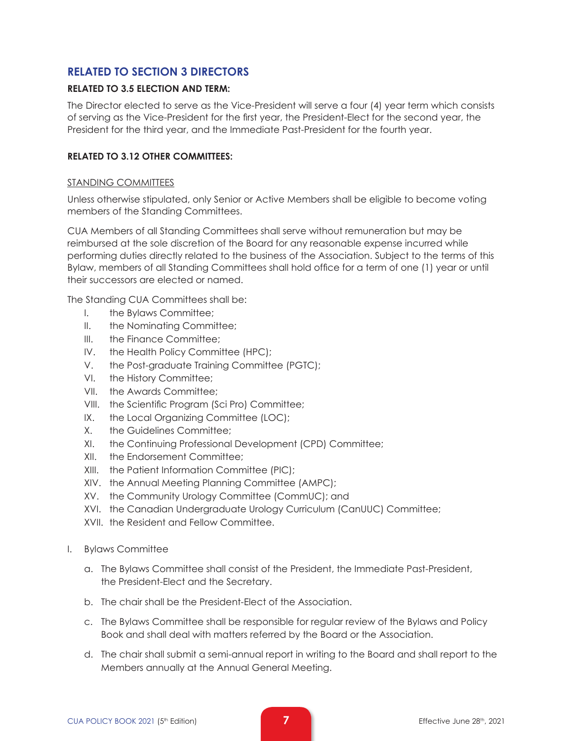# **RELATED TO SECTION 3 DIRECTORS**

#### **RELATED TO 3.5 ELECTION AND TERM:**

The Director elected to serve as the Vice-President will serve a four (4) year term which consists of serving as the Vice-President for the first year, the President-Elect for the second year, the President for the third year, and the Immediate Past-President for the fourth year.

#### **RELATED TO 3.12 OTHER COMMITTEES:**

#### STANDING COMMITTEES

Unless otherwise stipulated, only Senior or Active Members shall be eligible to become voting members of the Standing Committees.

CUA Members of all Standing Committees shall serve without remuneration but may be reimbursed at the sole discretion of the Board for any reasonable expense incurred while performing duties directly related to the business of the Association. Subject to the terms of this Bylaw, members of all Standing Committees shall hold office for a term of one (1) year or until their successors are elected or named.

The Standing CUA Committees shall be:

- I. the Bylaws Committee;
- II. the Nominating Committee;
- III. the Finance Committee:
- IV. the Health Policy Committee (HPC);
- V. the Post-graduate Training Committee (PGTC);
- VI. the History Committee;
- VII. the Awards Committee;
- VIII. the Scientific Program (Sci Pro) Committee;
- IX. the Local Organizing Committee (LOC);
- X. the Guidelines Committee;
- XI. the Continuing Professional Development (CPD) Committee;
- XII. the Endorsement Committee;
- XIII. the Patient Information Committee (PIC);
- XIV. the Annual Meeting Planning Committee (AMPC);
- XV. the Community Urology Committee (CommUC); and
- XVI. the Canadian Undergraduate Urology Curriculum (CanUUC) Committee;
- XVII. the Resident and Fellow Committee.
- I. Bylaws Committee
	- a. The Bylaws Committee shall consist of the President, the Immediate Past-President, the President-Elect and the Secretary.
	- b. The chair shall be the President-Elect of the Association.
	- c. The Bylaws Committee shall be responsible for regular review of the Bylaws and Policy Book and shall deal with matters referred by the Board or the Association.
	- d. The chair shall submit a semi-annual report in writing to the Board and shall report to the Members annually at the Annual General Meeting.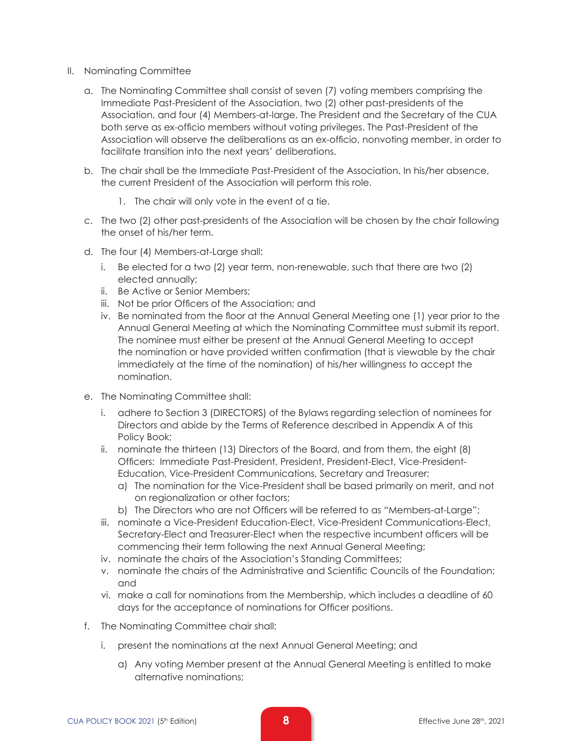- II. Nominating Committee
	- a. The Nominating Committee shall consist of seven (7) voting members comprising the Immediate Past-President of the Association, two (2) other past-presidents of the Association, and four (4) Members-at-large. The President and the Secretary of the CUA both serve as ex-officio members without voting privileges. The Past-President of the Association will observe the deliberations as an ex-officio, nonvoting member, in order to facilitate transition into the next years' deliberations.
	- b. The chair shall be the Immediate Past-President of the Association. In his/her absence, the current President of the Association will perform this role.
		- 1. The chair will only vote in the event of a tie.
	- c. The two (2) other past-presidents of the Association will be chosen by the chair following the onset of his/her term.
	- d. The four (4) Members-at-Large shall:
		- i. Be elected for a two (2) year term, non-renewable, such that there are two (2) elected annually;
		- ii. Be Active or Senior Members;
		- iii. Not be prior Officers of the Association; and
		- iv. Be nominated from the floor at the Annual General Meeting one (1) year prior to the Annual General Meeting at which the Nominating Committee must submit its report. The nominee must either be present at the Annual General Meeting to accept the nomination or have provided written confirmation (that is viewable by the chair immediately at the time of the nomination) of his/her willingness to accept the nomination.
	- e. The Nominating Committee shall:
		- i. adhere to Section 3 (DIRECTORS) of the Bylaws regarding selection of nominees for Directors and abide by the Terms of Reference described in Appendix A of this Policy Book;
		- ii. nominate the thirteen (13) Directors of the Board, and from them, the eight (8) Officers: Immediate Past-President, President, President-Elect, Vice-President-Education, Vice-President Communications, Secretary and Treasurer;
			- a) The nomination for the Vice-President shall be based primarily on merit, and not on regionalization or other factors;
			- b) The Directors who are not Officers will be referred to as "Members-at-Large";
		- iii. nominate a Vice-President Education-Elect, Vice-President Communications-Elect, Secretary-Elect and Treasurer-Elect when the respective incumbent officers will be commencing their term following the next Annual General Meeting;
		- iv. nominate the chairs of the Association's Standing Committees;
		- v. nominate the chairs of the Administrative and Scientific Councils of the Foundation; and
		- vi. make a call for nominations from the Membership, which includes a deadline of 60 days for the acceptance of nominations for Officer positions.
	- f. The Nominating Committee chair shall:
		- i. present the nominations at the next Annual General Meeting; and
			- a) Any voting Member present at the Annual General Meeting is entitled to make alternative nominations;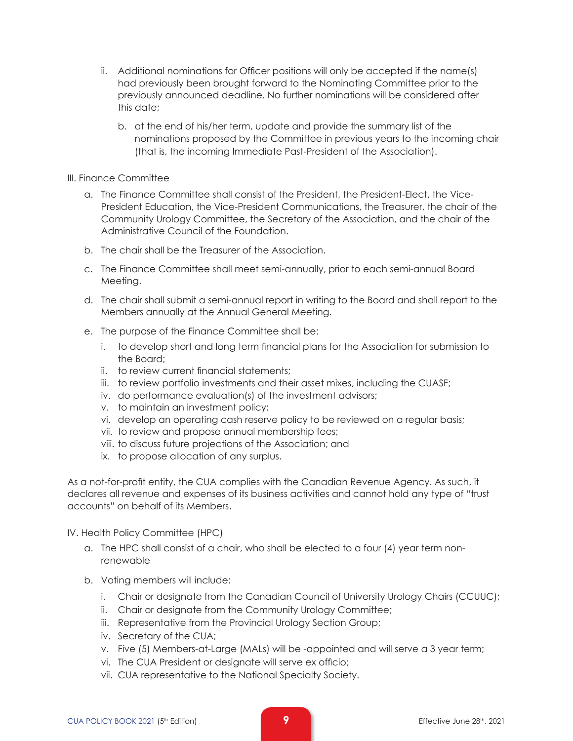- ii. Additional nominations for Officer positions will only be accepted if the name(s) had previously been brought forward to the Nominating Committee prior to the previously announced deadline. No further nominations will be considered after this date;
	- b. at the end of his/her term, update and provide the summary list of the nominations proposed by the Committee in previous years to the incoming chair (that is, the incoming Immediate Past-President of the Association).
- III. Finance Committee
	- a. The Finance Committee shall consist of the President, the President-Elect, the Vice-President Education, the Vice-President Communications, the Treasurer, the chair of the Community Urology Committee, the Secretary of the Association, and the chair of the Administrative Council of the Foundation.
	- b. The chair shall be the Treasurer of the Association.
	- c. The Finance Committee shall meet semi-annually, prior to each semi-annual Board Meeting.
	- d. The chair shall submit a semi-annual report in writing to the Board and shall report to the Members annually at the Annual General Meeting.
	- e. The purpose of the Finance Committee shall be:
		- i. to develop short and long term financial plans for the Association for submission to the Board;
		- ii. to review current financial statements;
		- iii. to review portfolio investments and their asset mixes, including the CUASF;
		- iv. do performance evaluation(s) of the investment advisors;
		- v. to maintain an investment policy;
		- vi. develop an operating cash reserve policy to be reviewed on a regular basis;
		- vii. to review and propose annual membership fees;
		- viii. to discuss future projections of the Association; and
		- ix. to propose allocation of any surplus.

As a not-for-profit entity, the CUA complies with the Canadian Revenue Agency. As such, it declares all revenue and expenses of its business activities and cannot hold any type of "trust accounts" on behalf of its Members.

IV. Health Policy Committee (HPC)

- a. The HPC shall consist of a chair, who shall be elected to a four (4) year term nonrenewable
- b. Voting members will include:
	- i. Chair or designate from the Canadian Council of University Urology Chairs (CCUUC);
	- ii. Chair or designate from the Community Urology Committee;
	- iii. Representative from the Provincial Urology Section Group;
	- iv. Secretary of the CUA;
	- v. Five (5) Members-at-Large (MALs) will be -appointed and will serve a 3 year term;
	- vi. The CUA President or designate will serve ex officio;
	- vii. CUA representative to the National Specialty Society.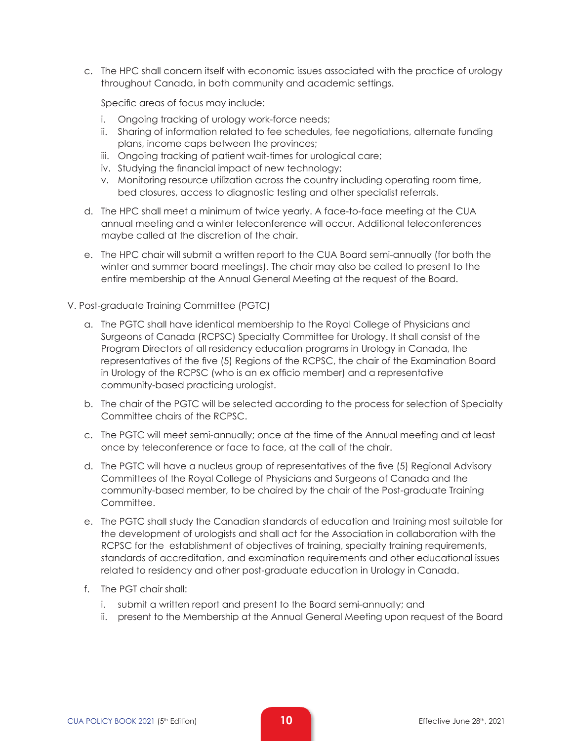c. The HPC shall concern itself with economic issues associated with the practice of urology throughout Canada, in both community and academic settings.

Specific areas of focus may include:

- i. Ongoing tracking of urology work-force needs;
- ii. Sharing of information related to fee schedules, fee negotiations, alternate funding plans, income caps between the provinces;
- iii. Ongoing tracking of patient wait-times for urological care;
- iv. Studying the financial impact of new technology;
- v. Monitoring resource utilization across the country including operating room time, bed closures, access to diagnostic testing and other specialist referrals.
- d. The HPC shall meet a minimum of twice yearly. A face-to-face meeting at the CUA annual meeting and a winter teleconference will occur. Additional teleconferences maybe called at the discretion of the chair.
- e. The HPC chair will submit a written report to the CUA Board semi-annually (for both the winter and summer board meetings). The chair may also be called to present to the entire membership at the Annual General Meeting at the request of the Board.
- V. Post-graduate Training Committee (PGTC)
	- a. The PGTC shall have identical membership to the Royal College of Physicians and Surgeons of Canada (RCPSC) Specialty Committee for Urology. It shall consist of the Program Directors of all residency education programs in Urology in Canada, the representatives of the five (5) Regions of the RCPSC, the chair of the Examination Board in Urology of the RCPSC (who is an ex officio member) and a representative community-based practicing urologist.
	- b. The chair of the PGTC will be selected according to the process for selection of Specialty Committee chairs of the RCPSC.
	- c. The PGTC will meet semi-annually; once at the time of the Annual meeting and at least once by teleconference or face to face, at the call of the chair.
	- d. The PGTC will have a nucleus group of representatives of the five (5) Regional Advisory Committees of the Royal College of Physicians and Surgeons of Canada and the community-based member, to be chaired by the chair of the Post-graduate Training Committee.
	- e. The PGTC shall study the Canadian standards of education and training most suitable for the development of urologists and shall act for the Association in collaboration with the RCPSC for the establishment of objectives of training, specialty training requirements, standards of accreditation, and examination requirements and other educational issues related to residency and other post-graduate education in Urology in Canada.
	- f. The PGT chair shall:
		- i. submit a written report and present to the Board semi-annually; and
		- ii. present to the Membership at the Annual General Meeting upon request of the Board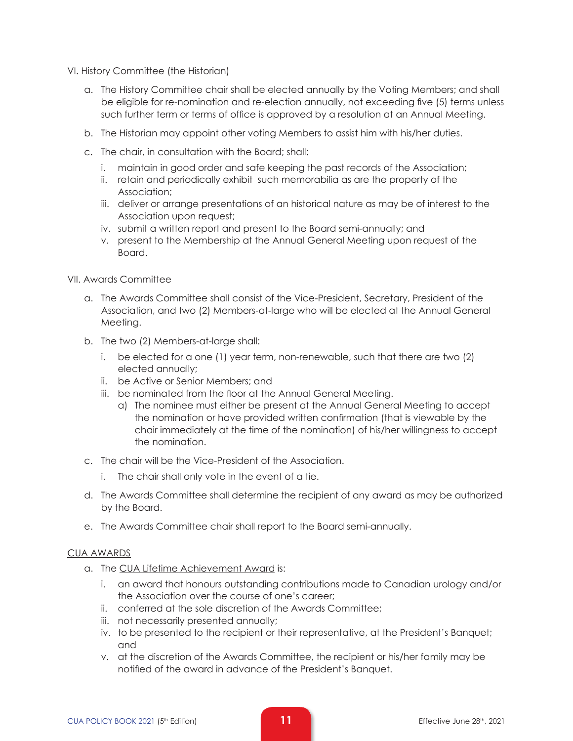VI. History Committee (the Historian)

- a. The History Committee chair shall be elected annually by the Voting Members; and shall be eligible for re-nomination and re-election annually, not exceeding five (5) terms unless such further term or terms of office is approved by a resolution at an Annual Meeting.
- b. The Historian may appoint other voting Members to assist him with his/her duties.
- c. The chair, in consultation with the Board; shall:
	- i. maintain in good order and safe keeping the past records of the Association;
	- ii. retain and periodically exhibit such memorabilia as are the property of the Association;
	- iii. deliver or arrange presentations of an historical nature as may be of interest to the Association upon request;
	- iv. submit a written report and present to the Board semi-annually; and
	- v. present to the Membership at the Annual General Meeting upon request of the Board.

#### VII. Awards Committee

- a. The Awards Committee shall consist of the Vice-President, Secretary, President of the Association, and two (2) Members-at-large who will be elected at the Annual General Meeting.
- b. The two (2) Members-at-large shall:
	- i. be elected for a one (1) year term, non-renewable, such that there are two (2) elected annually;
	- ii. be Active or Senior Members; and
	- iii. be nominated from the floor at the Annual General Meeting.
		- a) The nominee must either be present at the Annual General Meeting to accept the nomination or have provided written confirmation (that is viewable by the chair immediately at the time of the nomination) of his/her willingness to accept the nomination.
- c. The chair will be the Vice-President of the Association.
	- i. The chair shall only vote in the event of a tie.
- d. The Awards Committee shall determine the recipient of any award as may be authorized by the Board.
- e. The Awards Committee chair shall report to the Board semi-annually.

#### CUA AWARDS

- a. The CUA Lifetime Achievement Award is:
	- i. an award that honours outstanding contributions made to Canadian urology and/or the Association over the course of one's career;
	- ii. conferred at the sole discretion of the Awards Committee;
	- iii. not necessarily presented annually;
	- iv. to be presented to the recipient or their representative, at the President's Banquet; and
	- v. at the discretion of the Awards Committee, the recipient or his/her family may be notified of the award in advance of the President's Banquet.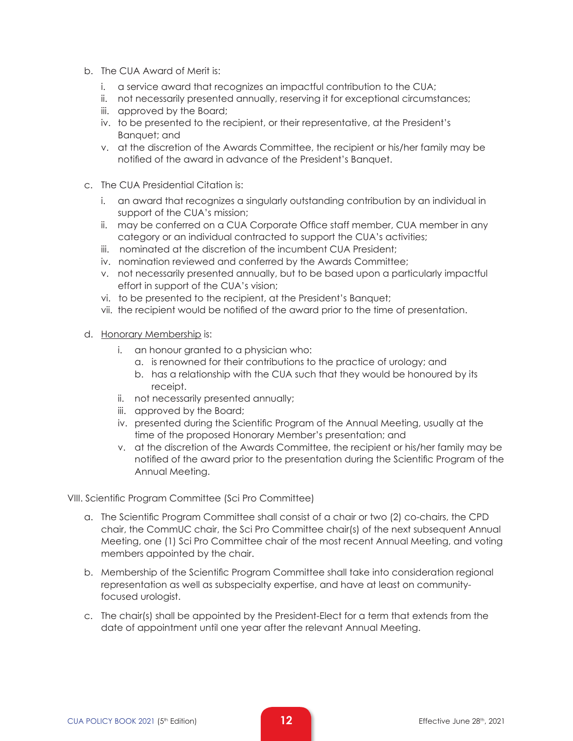- b. The CUA Award of Merit is:
	- i. a service award that recognizes an impactful contribution to the CUA;
	- ii. not necessarily presented annually, reserving it for exceptional circumstances;
	- iii. approved by the Board;
	- iv. to be presented to the recipient, or their representative, at the President's Banquet; and
	- v. at the discretion of the Awards Committee, the recipient or his/her family may be notified of the award in advance of the President's Banquet.
- c. The CUA Presidential Citation is:
	- i. an award that recognizes a singularly outstanding contribution by an individual in support of the CUA's mission;
	- ii. may be conferred on a CUA Corporate Office staff member, CUA member in any category or an individual contracted to support the CUA's activities;
	- iii. nominated at the discretion of the incumbent CUA President;
	- iv. nomination reviewed and conferred by the Awards Committee;
	- v. not necessarily presented annually, but to be based upon a particularly impactful effort in support of the CUA's vision;
	- vi. to be presented to the recipient, at the President's Banquet;
	- vii. the recipient would be notified of the award prior to the time of presentation.
- d. Honorary Membership is:
	- i. an honour granted to a physician who:
		- a. is renowned for their contributions to the practice of urology; and
		- b. has a relationship with the CUA such that they would be honoured by its receipt.
	- ii. not necessarily presented annually;
	- iii. approved by the Board;
	- iv. presented during the Scientific Program of the Annual Meeting, usually at the time of the proposed Honorary Member's presentation; and
	- v. at the discretion of the Awards Committee, the recipient or his/her family may be notified of the award prior to the presentation during the Scientific Program of the Annual Meeting.

#### VIII. Scientific Program Committee (Sci Pro Committee)

- a. The Scientific Program Committee shall consist of a chair or two (2) co-chairs, the CPD chair, the CommUC chair, the Sci Pro Committee chair(s) of the next subsequent Annual Meeting, one (1) Sci Pro Committee chair of the most recent Annual Meeting, and voting members appointed by the chair.
- b. Membership of the Scientific Program Committee shall take into consideration regional representation as well as subspecialty expertise, and have at least on communityfocused urologist.
- c. The chair(s) shall be appointed by the President-Elect for a term that extends from the date of appointment until one year after the relevant Annual Meeting.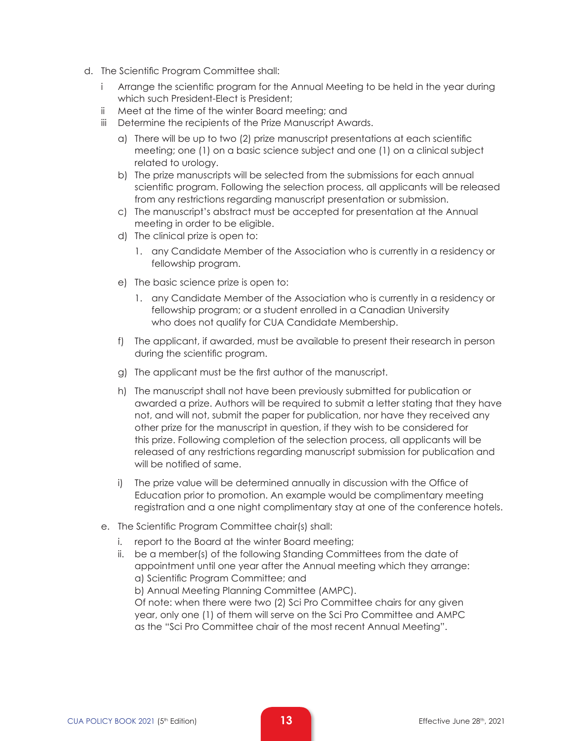- d. The Scientific Program Committee shall:
	- i Arrange the scientific program for the Annual Meeting to be held in the year during which such President-Elect is President;
	- ii Meet at the time of the winter Board meeting; and
	- iii Determine the recipients of the Prize Manuscript Awards.
		- a) There will be up to two (2) prize manuscript presentations at each scientific meeting; one (1) on a basic science subject and one (1) on a clinical subject related to urology.
		- b) The prize manuscripts will be selected from the submissions for each annual scientific program. Following the selection process, all applicants will be released from any restrictions regarding manuscript presentation or submission.
		- c) The manuscript's abstract must be accepted for presentation at the Annual meeting in order to be eligible.
		- d) The clinical prize is open to:
			- 1. any Candidate Member of the Association who is currently in a residency or fellowship program.
		- e) The basic science prize is open to:
			- 1. any Candidate Member of the Association who is currently in a residency or fellowship program; or a student enrolled in a Canadian University who does not qualify for CUA Candidate Membership.
		- f) The applicant, if awarded, must be available to present their research in person during the scientific program.
		- g) The applicant must be the first author of the manuscript.
		- h) The manuscript shall not have been previously submitted for publication or awarded a prize. Authors will be required to submit a letter stating that they have not, and will not, submit the paper for publication, nor have they received any other prize for the manuscript in question, if they wish to be considered for this prize. Following completion of the selection process, all applicants will be released of any restrictions regarding manuscript submission for publication and will be notified of same.
		- i) The prize value will be determined annually in discussion with the Office of Education prior to promotion. An example would be complimentary meeting registration and a one night complimentary stay at one of the conference hotels.
	- e. The Scientific Program Committee chair(s) shall:
		- i. report to the Board at the winter Board meeting;
		- ii. be a member(s) of the following Standing Committees from the date of appointment until one year after the Annual meeting which they arrange: a) Scientific Program Committee; and
			- b) Annual Meeting Planning Committee (AMPC).

Of note: when there were two (2) Sci Pro Committee chairs for any given year, only one (1) of them will serve on the Sci Pro Committee and AMPC as the "Sci Pro Committee chair of the most recent Annual Meeting".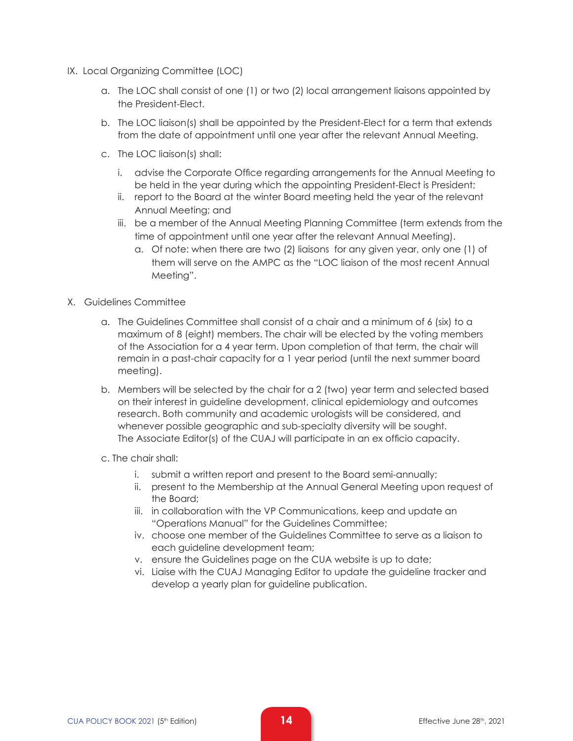- IX. Local Organizing Committee (LOC)
	- a. The LOC shall consist of one (1) or two (2) local arrangement liaisons appointed by the President-Elect.
	- b. The LOC liaison(s) shall be appointed by the President-Elect for a term that extends from the date of appointment until one year after the relevant Annual Meeting.
	- c. The LOC liaison(s) shall:
		- i. advise the Corporate Office regarding arrangements for the Annual Meeting to be held in the year during which the appointing President-Elect is President;
		- ii. report to the Board at the winter Board meeting held the year of the relevant Annual Meeting; and
		- iii. be a member of the Annual Meeting Planning Committee (term extends from the time of appointment until one year after the relevant Annual Meeting).
			- a. Of note: when there are two (2) liaisons for any given year, only one (1) of them will serve on the AMPC as the "LOC liaison of the most recent Annual Meeting".
- X. Guidelines Committee
	- a. The Guidelines Committee shall consist of a chair and a minimum of 6 (six) to a maximum of 8 (eight) members. The chair will be elected by the voting members of the Association for a 4 year term. Upon completion of that term, the chair will remain in a past-chair capacity for a 1 year period (until the next summer board meeting).
	- b. Members will be selected by the chair for a 2 (two) year term and selected based on their interest in guideline development, clinical epidemiology and outcomes research. Both community and academic urologists will be considered, and whenever possible geographic and sub-specialty diversity will be sought. The Associate Editor(s) of the CUAJ will participate in an ex officio capacity.
	- c. The chair shall:
		- i. submit a written report and present to the Board semi-annually;
		- ii. present to the Membership at the Annual General Meeting upon request of the Board;
		- iii. in collaboration with the VP Communications, keep and update an "Operations Manual" for the Guidelines Committee;
		- iv. choose one member of the Guidelines Committee to serve as a liaison to each guideline development team;
		- v. ensure the Guidelines page on the CUA website is up to date;
		- vi. Liaise with the CUAJ Managing Editor to update the guideline tracker and develop a yearly plan for guideline publication.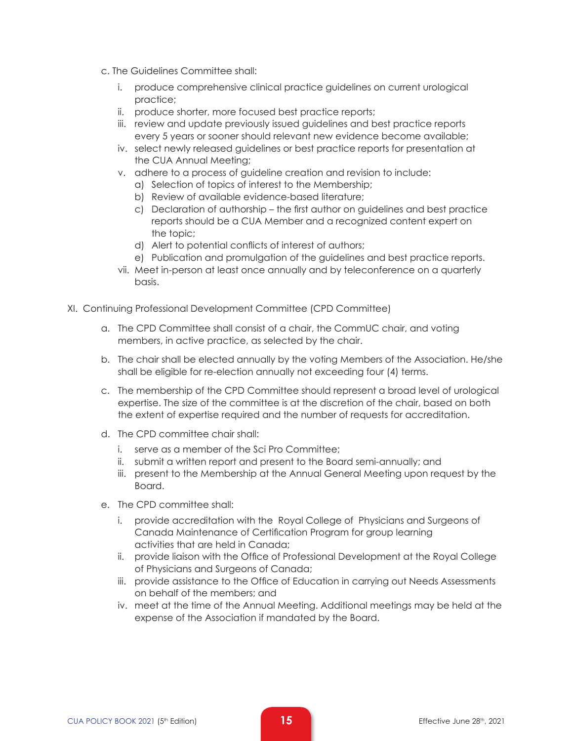- c. The Guidelines Committee shall:
	- i. produce comprehensive clinical practice guidelines on current urological practice;
	- ii. produce shorter, more focused best practice reports;
	- iii. review and update previously issued guidelines and best practice reports every 5 years or sooner should relevant new evidence become available;
	- iv. select newly released guidelines or best practice reports for presentation at the CUA Annual Meeting;
	- v. adhere to a process of guideline creation and revision to include:
		- a) Selection of topics of interest to the Membership;
		- b) Review of available evidence-based literature;
		- c) Declaration of authorship the first author on guidelines and best practice reports should be a CUA Member and a recognized content expert on the topic;
		- d) Alert to potential conflicts of interest of authors;
		- e) Publication and promulgation of the guidelines and best practice reports.
	- vii. Meet in-person at least once annually and by teleconference on a quarterly basis.
- XI. Continuing Professional Development Committee (CPD Committee)
	- a. The CPD Committee shall consist of a chair, the CommUC chair, and voting members, in active practice, as selected by the chair.
	- b. The chair shall be elected annually by the voting Members of the Association. He/she shall be eligible for re-election annually not exceeding four (4) terms.
	- c. The membership of the CPD Committee should represent a broad level of urological expertise. The size of the committee is at the discretion of the chair, based on both the extent of expertise required and the number of requests for accreditation.
	- d. The CPD committee chair shall:
		- i. serve as a member of the Sci Pro Committee;
		- ii. submit a written report and present to the Board semi-annually; and
		- iii. present to the Membership at the Annual General Meeting upon request by the Board.
	- e. The CPD committee shall:
		- i. provide accreditation with the Royal College of Physicians and Surgeons of Canada Maintenance of Certification Program for group learning activities that are held in Canada;
		- ii. provide liaison with the Office of Professional Development at the Royal College of Physicians and Surgeons of Canada;
		- iii. provide assistance to the Office of Education in carrying out Needs Assessments on behalf of the members; and
		- iv. meet at the time of the Annual Meeting. Additional meetings may be held at the expense of the Association if mandated by the Board.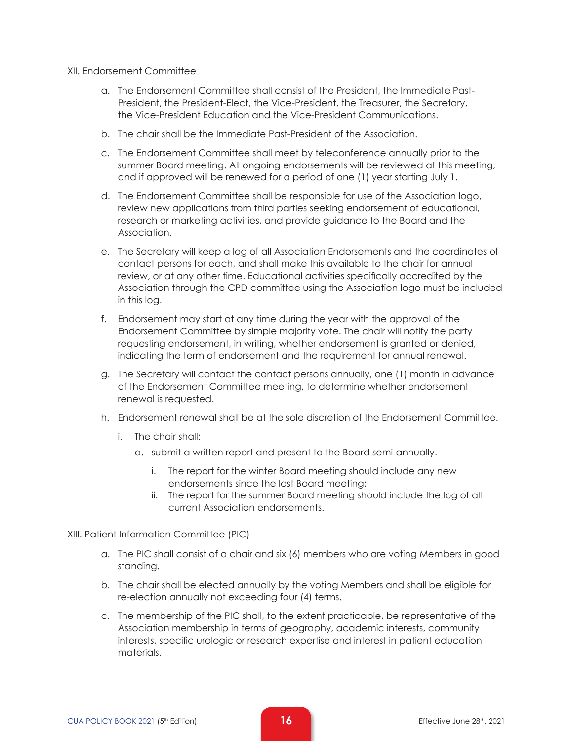#### XII. Endorsement Committee

- a. The Endorsement Committee shall consist of the President, the Immediate Past-President, the President-Elect, the Vice-President, the Treasurer, the Secretary, the Vice-President Education and the Vice-President Communications.
- b. The chair shall be the Immediate Past-President of the Association.
- c. The Endorsement Committee shall meet by teleconference annually prior to the summer Board meeting. All ongoing endorsements will be reviewed at this meeting, and if approved will be renewed for a period of one (1) year starting July 1.
- d. The Endorsement Committee shall be responsible for use of the Association logo, review new applications from third parties seeking endorsement of educational, research or marketing activities, and provide guidance to the Board and the Association.
- e. The Secretary will keep a log of all Association Endorsements and the coordinates of contact persons for each, and shall make this available to the chair for annual review, or at any other time. Educational activities specifically accredited by the Association through the CPD committee using the Association logo must be included in this log.
- f. Endorsement may start at any time during the year with the approval of the Endorsement Committee by simple majority vote. The chair will notify the party requesting endorsement, in writing, whether endorsement is granted or denied, indicating the term of endorsement and the requirement for annual renewal.
- g. The Secretary will contact the contact persons annually, one (1) month in advance of the Endorsement Committee meeting, to determine whether endorsement renewal is requested.
- h. Endorsement renewal shall be at the sole discretion of the Endorsement Committee.
	- i. The chair shall:
		- a. submit a written report and present to the Board semi-annually.
			- i. The report for the winter Board meeting should include any new endorsements since the last Board meeting;
			- ii. The report for the summer Board meeting should include the log of all current Association endorsements.

XIII. Patient Information Committee (PIC)

- a. The PIC shall consist of a chair and six (6) members who are voting Members in good standing.
- b. The chair shall be elected annually by the voting Members and shall be eligible for re-election annually not exceeding four (4) terms.
- c. The membership of the PIC shall, to the extent practicable, be representative of the Association membership in terms of geography, academic interests, community interests, specific urologic or research expertise and interest in patient education materials.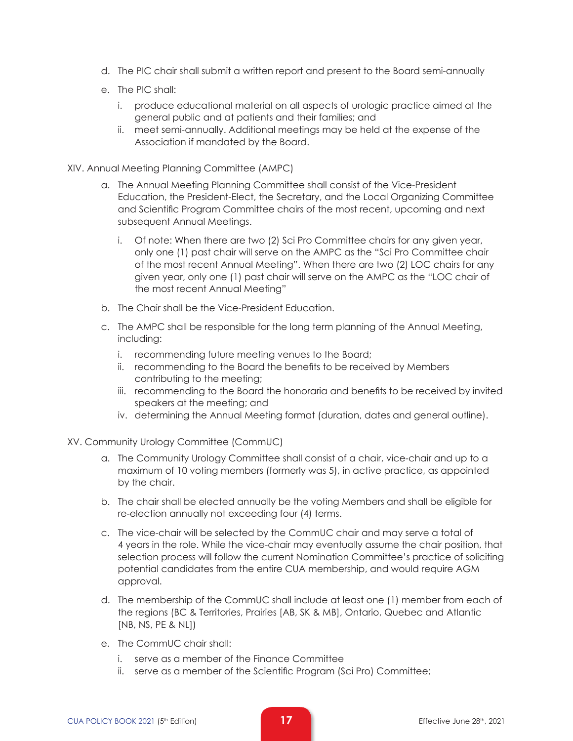- d. The PIC chair shall submit a written report and present to the Board semi-annually
- e. The PIC shall:
	- i. produce educational material on all aspects of urologic practice aimed at the general public and at patients and their families; and
	- ii. meet semi-annually. Additional meetings may be held at the expense of the Association if mandated by the Board.
- XIV. Annual Meeting Planning Committee (AMPC)
	- a. The Annual Meeting Planning Committee shall consist of the Vice-President Education, the President-Elect, the Secretary, and the Local Organizing Committee and Scientific Program Committee chairs of the most recent, upcoming and next subsequent Annual Meetings.
		- i. Of note: When there are two (2) Sci Pro Committee chairs for any given year, only one (1) past chair will serve on the AMPC as the "Sci Pro Committee chair of the most recent Annual Meeting". When there are two (2) LOC chairs for any given year, only one (1) past chair will serve on the AMPC as the "LOC chair of the most recent Annual Meeting"
	- b. The Chair shall be the Vice-President Education.
	- c. The AMPC shall be responsible for the long term planning of the Annual Meeting, including:
		- i. recommending future meeting venues to the Board;
		- ii. recommending to the Board the benefits to be received by Members contributing to the meeting;
		- iii. recommending to the Board the honoraria and benefits to be received by invited speakers at the meeting; and
		- iv. determining the Annual Meeting format (duration, dates and general outline).
- XV. Community Urology Committee (CommUC)
	- a. The Community Urology Committee shall consist of a chair, vice-chair and up to a maximum of 10 voting members (formerly was 5), in active practice, as appointed by the chair.
	- b. The chair shall be elected annually be the voting Members and shall be eligible for re-election annually not exceeding four (4) terms.
	- c. The vice-chair will be selected by the CommUC chair and may serve a total of 4 years in the role. While the vice-chair may eventually assume the chair position, that selection process will follow the current Nomination Committee's practice of soliciting potential candidates from the entire CUA membership, and would require AGM approval.
	- d. The membership of the CommUC shall include at least one (1) member from each of the regions (BC & Territories, Prairies [AB, SK & MB], Ontario, Quebec and Atlantic [NB, NS, PE & NL])
	- e. The CommUC chair shall:
		- i. serve as a member of the Finance Committee
		- ii. serve as a member of the Scientific Program (Sci Pro) Committee;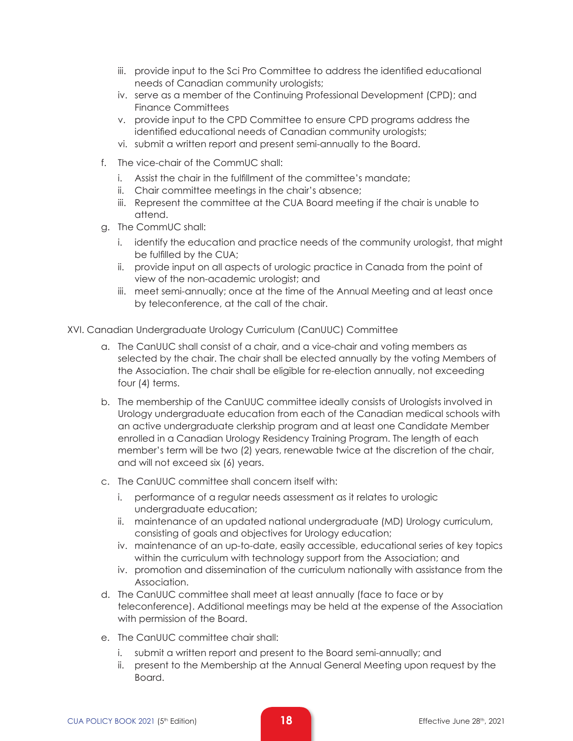- iii. provide input to the Sci Pro Committee to address the identified educational needs of Canadian community urologists;
- iv. serve as a member of the Continuing Professional Development (CPD); and Finance Committees
- v. provide input to the CPD Committee to ensure CPD programs address the identified educational needs of Canadian community urologists;
- vi. submit a written report and present semi-annually to the Board.
- f. The vice-chair of the CommUC shall:
	- i. Assist the chair in the fulfillment of the committee's mandate;
	- ii. Chair committee meetings in the chair's absence;
	- iii. Represent the committee at the CUA Board meeting if the chair is unable to attend.
- g. The CommUC shall:
	- i. identify the education and practice needs of the community urologist, that might be fulfilled by the CUA;
	- ii. provide input on all aspects of urologic practice in Canada from the point of view of the non-academic urologist; and
	- iii. meet semi-annually; once at the time of the Annual Meeting and at least once by teleconference, at the call of the chair.

XVI. Canadian Undergraduate Urology Curriculum (CanUUC) Committee

- a. The CanUUC shall consist of a chair, and a vice-chair and voting members as selected by the chair. The chair shall be elected annually by the voting Members of the Association. The chair shall be eligible for re-election annually, not exceeding four (4) terms.
- b. The membership of the CanUUC committee ideally consists of Urologists involved in Urology undergraduate education from each of the Canadian medical schools with an active undergraduate clerkship program and at least one Candidate Member enrolled in a Canadian Urology Residency Training Program. The length of each member's term will be two (2) years, renewable twice at the discretion of the chair, and will not exceed six (6) years.
- c. The CanUUC committee shall concern itself with:
	- i. performance of a regular needs assessment as it relates to urologic undergraduate education;
	- ii. maintenance of an updated national undergraduate (MD) Urology curriculum, consisting of goals and objectives for Urology education;
	- iv. maintenance of an up-to-date, easily accessible, educational series of key topics within the curriculum with technology support from the Association; and
	- iv. promotion and dissemination of the curriculum nationally with assistance from the Association.
- d. The CanUUC committee shall meet at least annually (face to face or by teleconference). Additional meetings may be held at the expense of the Association with permission of the Board.
- e. The CanUUC committee chair shall:
	- i. submit a written report and present to the Board semi-annually; and
	- ii. present to the Membership at the Annual General Meeting upon request by the Board.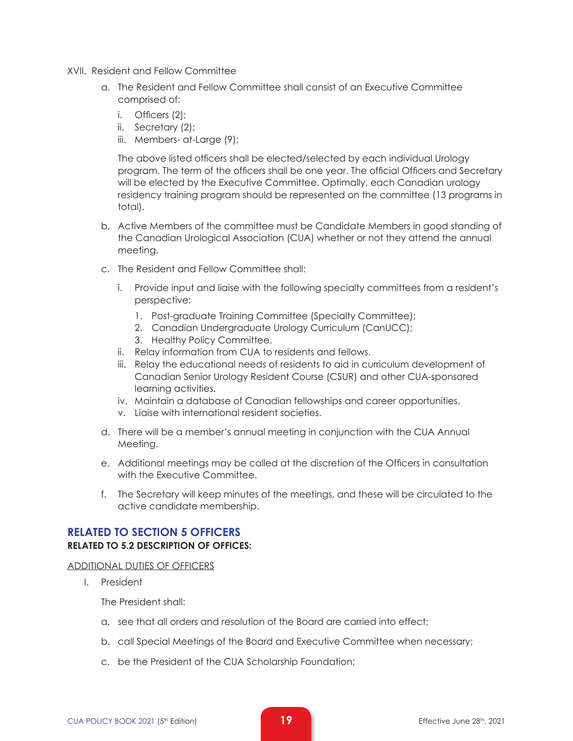- XVII. Resident and Fellow Committee
	- a. The Resident and Fellow Committee shall consist of an Executive Committee comprised of:
		- i. Officers (2);
		- ii. Secretary (2);
		- iii. Members- at-Large (9);

The above listed officers shall be elected/selected by each individual Urology program. The term of the officers shall be one year. The official Officers and Secretary will be elected by the Executive Committee. Optimally, each Canadian urology residency training program should be represented on the committee (13 programs in total).

- b. Active Members of the committee must be Candidate Members in good standing of the Canadian Urological Association (CUA) whether or not they attend the annual meeting.
- c. The Resident and Fellow Committee shall:
	- i. Provide input and liaise with the following specialty committees from a resident's perspective:
		- 1. Post-graduate Training Committee (Specialty Committee);
		- 2. Canadian Undergraduate Urology Curriculum (CanUCC);
		- 3. Healthy Policy Committee.
	- ii. Relay information from CUA to residents and fellows.
	- iii. Relay the educational needs of residents to aid in curriculum development of Canadian Senior Urology Resident Course (CSUR) and other CUA-sponsored learning activities.
	- iv. Maintain a database of Canadian fellowships and career opportunities.
	- v. Liaise with international resident societies.
- d. There will be a member's annual meeting in conjunction with the CUA Annual Meeting.
- e. Additional meetings may be called at the discretion of the Officers in consultation with the Executive Committee.
- f. The Secretary will keep minutes of the meetings, and these will be circulated to the active candidate membership.

# **RELATED TO SECTION 5 OFFICERS RELATED TO 5.2 DESCRIPTION OF OFFICES:**

#### ADDITIONAL DUTIES OF OFFICERS

I. President

The President shall:

- a. see that all orders and resolution of the Board are carried into effect;
- b. call Special Meetings of the Board and Executive Committee when necessary;
- c. be the President of the CUA Scholarship Foundation;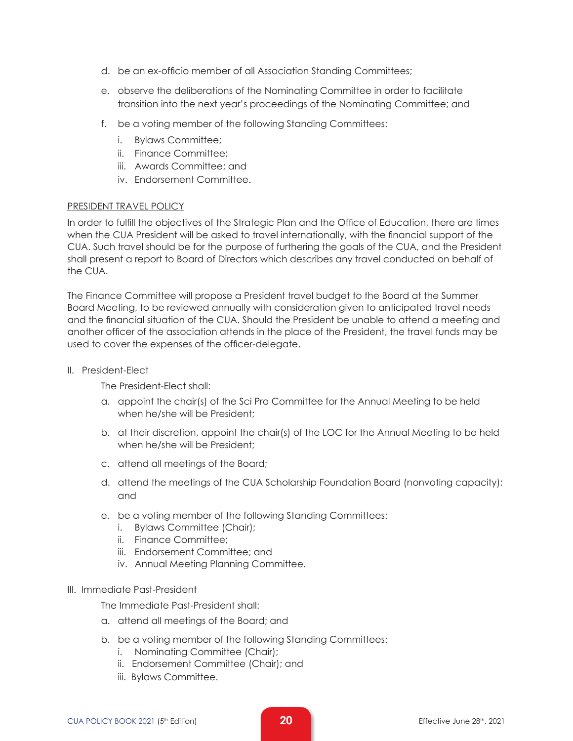- d. be an ex-officio member of all Association Standing Committees;
- e. observe the deliberations of the Nominating Committee in order to facilitate transition into the next year's proceedings of the Nominating Committee; and
- f. be a voting member of the following Standing Committees:
	- i. Bylaws Committee;
	- ii. Finance Committee;
	- iii. Awards Committee; and
	- iv. Endorsement Committee.

#### PRESIDENT TRAVEL POLICY

In order to fulfill the objectives of the Strategic Plan and the Office of Education, there are times when the CUA President will be asked to travel internationally, with the financial support of the CUA. Such travel should be for the purpose of furthering the goals of the CUA, and the President shall present a report to Board of Directors which describes any travel conducted on behalf of the CUA.

The Finance Committee will propose a President travel budget to the Board at the Summer Board Meeting, to be reviewed annually with consideration given to anticipated travel needs and the financial situation of the CUA. Should the President be unable to attend a meeting and another officer of the association attends in the place of the President, the travel funds may be used to cover the expenses of the officer-delegate.

II. President-Elect

The President-Elect shall:

- a. appoint the chair(s) of the Sci Pro Committee for the Annual Meeting to be held when he/she will be President;
- b. at their discretion, appoint the chair(s) of the LOC for the Annual Meeting to be held when he/she will be President;
- c. attend all meetings of the Board;
- d. attend the meetings of the CUA Scholarship Foundation Board (nonvoting capacity); and
- e. be a voting member of the following Standing Committees:
	- i. Bylaws Committee (Chair);
	- ii. Finance Committee;
	- iii. Endorsement Committee; and
	- iv. Annual Meeting Planning Committee.

#### III. Immediate Past-President

The Immediate Past-President shall:

- a. attend all meetings of the Board; and
- b. be a voting member of the following Standing Committees:
	- i. Nominating Committee (Chair);
	- ii. Endorsement Committee (Chair); and
	- iii. Bylaws Committee.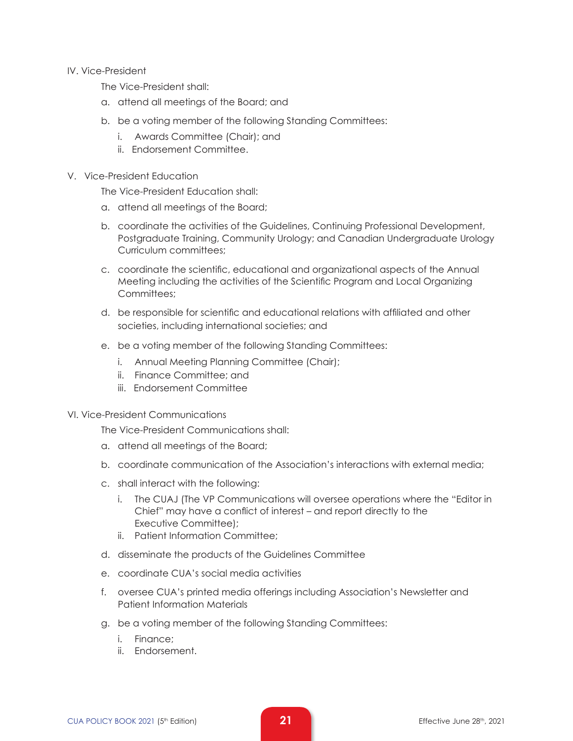#### IV. Vice-President

The Vice-President shall:

- a. attend all meetings of the Board; and
- b. be a voting member of the following Standing Committees:
	- i. Awards Committee (Chair); and
	- ii. Endorsement Committee.

#### V. Vice-President Education

The Vice-President Education shall:

- a. attend all meetings of the Board;
- b. coordinate the activities of the Guidelines, Continuing Professional Development, Postgraduate Training, Community Urology; and Canadian Undergraduate Urology Curriculum committees;
- c. coordinate the scientific, educational and organizational aspects of the Annual Meeting including the activities of the Scientific Program and Local Organizing Committees:
- d. be responsible for scientific and educational relations with affiliated and other societies, including international societies; and
- e. be a voting member of the following Standing Committees:
	- i. Annual Meeting Planning Committee (Chair);
	- ii. Finance Committee; and
	- iii. Endorsement Committee

#### VI. Vice-President Communications

The Vice-President Communications shall:

- a. attend all meetings of the Board;
- b. coordinate communication of the Association's interactions with external media;
- c. shall interact with the following:
	- i. The CUAJ (The VP Communications will oversee operations where the "Editor in Chief" may have a conflict of interest – and report directly to the Executive Committee);
	- ii. Patient Information Committee;
- d. disseminate the products of the Guidelines Committee
- e. coordinate CUA's social media activities
- f. oversee CUA's printed media offerings including Association's Newsletter and Patient Information Materials
- g. be a voting member of the following Standing Committees:
	- i. Finance;
	- ii. Endorsement.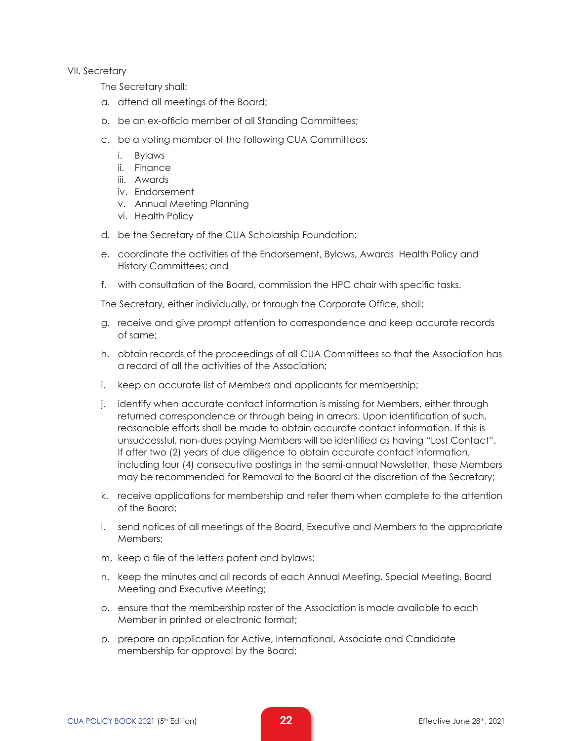VII. Secretary

The Secretary shall:

- a. attend all meetings of the Board;
- b. be an ex-officio member of all Standing Committees;
- c. be a voting member of the following CUA Committees:
	- i. Bylaws
	- ii. Finance
	- iii. Awards
	- iv. Endorsement
	- v. Annual Meeting Planning
	- vi. Health Policy
- d. be the Secretary of the CUA Scholarship Foundation;
- e. coordinate the activities of the Endorsement, Bylaws, Awards Health Policy and History Committees; and
- f. with consultation of the Board, commission the HPC chair with specific tasks.

The Secretary, either individually, or through the Corporate Office, shall:

- g. receive and give prompt attention to correspondence and keep accurate records of same;
- h. obtain records of the proceedings of all CUA Committees so that the Association has a record of all the activities of the Association;
- i. keep an accurate list of Members and applicants for membership;
- j. identify when accurate contact information is missing for Members, either through returned correspondence or through being in arrears. Upon identification of such, reasonable efforts shall be made to obtain accurate contact information. If this is unsuccessful, non-dues paying Members will be identified as having "Lost Contact". If after two (2) years of due diligence to obtain accurate contact information, including four (4) consecutive postings in the semi-annual Newsletter, these Members may be recommended for Removal to the Board at the discretion of the Secretary;
- k. receive applications for membership and refer them when complete to the attention of the Board;
- l. send notices of all meetings of the Board, Executive and Members to the appropriate Members;
- m. keep a file of the letters patent and bylaws;
- n. keep the minutes and all records of each Annual Meeting, Special Meeting, Board Meeting and Executive Meeting;
- o. ensure that the membership roster of the Association is made available to each Member in printed or electronic format;
- p. prepare an application for Active, International, Associate and Candidate membership for approval by the Board;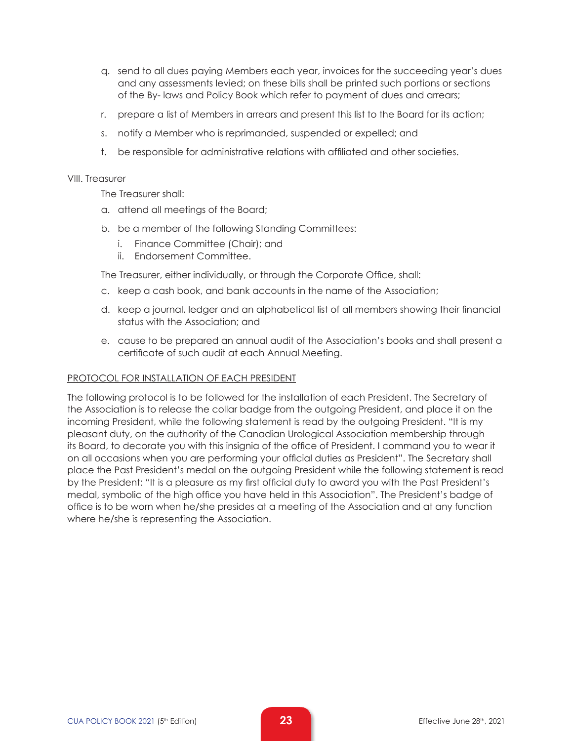- q. send to all dues paying Members each year, invoices for the succeeding year's dues and any assessments levied; on these bills shall be printed such portions or sections of the By- laws and Policy Book which refer to payment of dues and arrears;
- r. prepare a list of Members in arrears and present this list to the Board for its action;
- s. notify a Member who is reprimanded, suspended or expelled; and
- t. be responsible for administrative relations with affiliated and other societies.

#### VIII. Treasurer

The Treasurer shall:

- a. attend all meetings of the Board;
- b. be a member of the following Standing Committees:
	- i. Finance Committee (Chair); and
	- ii. Endorsement Committee.

The Treasurer, either individually, or through the Corporate Office, shall:

- c. keep a cash book, and bank accounts in the name of the Association;
- d. keep a journal, ledger and an alphabetical list of all members showing their financial status with the Association; and
- e. cause to be prepared an annual audit of the Association's books and shall present a certificate of such audit at each Annual Meeting.

#### PROTOCOL FOR INSTALLATION OF EACH PRESIDENT

The following protocol is to be followed for the installation of each President. The Secretary of the Association is to release the collar badge from the outgoing President, and place it on the incoming President, while the following statement is read by the outgoing President. "It is my pleasant duty, on the authority of the Canadian Urological Association membership through its Board, to decorate you with this insignia of the office of President. I command you to wear it on all occasions when you are performing your official duties as President". The Secretary shall place the Past President's medal on the outgoing President while the following statement is read by the President: "It is a pleasure as my first official duty to award you with the Past President's medal, symbolic of the high office you have held in this Association". The President's badge of office is to be worn when he/she presides at a meeting of the Association and at any function where he/she is representing the Association.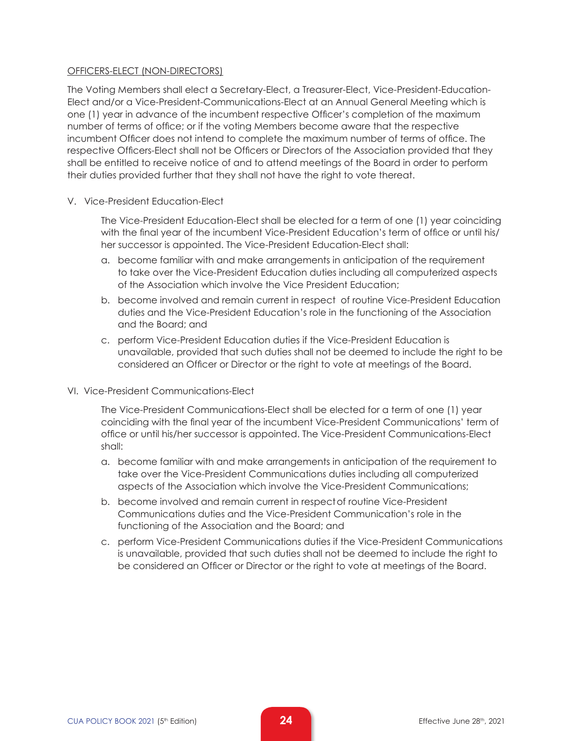#### OFFICERS-ELECT (NON-DIRECTORS)

The Voting Members shall elect a Secretary-Elect, a Treasurer-Elect, Vice-President-Education-Elect and/or a Vice-President-Communications-Elect at an Annual General Meeting which is one (1) year in advance of the incumbent respective Officer's completion of the maximum number of terms of office; or if the voting Members become aware that the respective incumbent Officer does not intend to complete the maximum number of terms of office. The respective Officers-Elect shall not be Officers or Directors of the Association provided that they shall be entitled to receive notice of and to attend meetings of the Board in order to perform their duties provided further that they shall not have the right to vote thereat.

V. Vice-President Education-Elect

The Vice-President Education-Elect shall be elected for a term of one (1) year coinciding with the final year of the incumbent Vice-President Education's term of office or until his/ her successor is appointed. The Vice-President Education-Elect shall:

- a. become familiar with and make arrangements in anticipation of the requirement to take over the Vice-President Education duties including all computerized aspects of the Association which involve the Vice President Education;
- b. become involved and remain current in respect of routine Vice-President Education duties and the Vice-President Education's role in the functioning of the Association and the Board; and
- c. perform Vice-President Education duties if the Vice-President Education is unavailable, provided that such duties shall not be deemed to include the right to be considered an Officer or Director or the right to vote at meetings of the Board.
- VI. Vice-President Communications-Elect

The Vice-President Communications-Elect shall be elected for a term of one (1) year coinciding with the final year of the incumbent Vice-President Communications' term of office or until his/her successor is appointed. The Vice-President Communications-Elect shall:

- a. become familiar with and make arrangements in anticipation of the requirement to take over the Vice-President Communications duties including all computerized aspects of the Association which involve the Vice-President Communications;
- b. become involved and remain current in respectof routine Vice-President Communications duties and the Vice-President Communication's role in the functioning of the Association and the Board; and
- c. perform Vice-President Communications duties if the Vice-President Communications is unavailable, provided that such duties shall not be deemed to include the right to be considered an Officer or Director or the right to vote at meetings of the Board.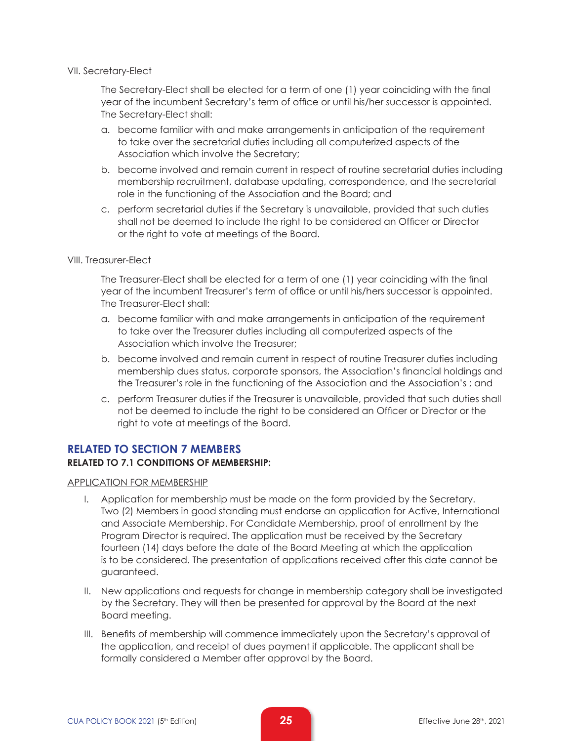#### VII. Secretary-Elect

The Secretary-Elect shall be elected for a term of one (1) year coinciding with the final year of the incumbent Secretary's term of office or until his/her successor is appointed. The Secretary-Elect shall:

- a. become familiar with and make arrangements in anticipation of the requirement to take over the secretarial duties including all computerized aspects of the Association which involve the Secretary;
- b. become involved and remain current in respect of routine secretarial duties including membership recruitment, database updating, correspondence, and the secretarial role in the functioning of the Association and the Board; and
- c. perform secretarial duties if the Secretary is unavailable, provided that such duties shall not be deemed to include the right to be considered an Officer or Director or the right to vote at meetings of the Board.

#### VIII. Treasurer-Elect

The Treasurer-Elect shall be elected for a term of one (1) year coinciding with the final year of the incumbent Treasurer's term of office or until his/hers successor is appointed. The Treasurer-Elect shall:

- a. become familiar with and make arrangements in anticipation of the requirement to take over the Treasurer duties including all computerized aspects of the Association which involve the Treasurer;
- b. become involved and remain current in respect of routine Treasurer duties including membership dues status, corporate sponsors, the Association's financial holdings and the Treasurer's role in the functioning of the Association and the Association's ; and
- c. perform Treasurer duties if the Treasurer is unavailable, provided that such duties shall not be deemed to include the right to be considered an Officer or Director or the right to vote at meetings of the Board.

## **RELATED TO SECTION 7 MEMBERS RELATED TO 7.1 CONDITIONS OF MEMBERSHIP:**

#### APPLICATION FOR MEMBERSHIP

- I. Application for membership must be made on the form provided by the Secretary. Two (2) Members in good standing must endorse an application for Active, International and Associate Membership. For Candidate Membership, proof of enrollment by the Program Director is required. The application must be received by the Secretary fourteen (14) days before the date of the Board Meeting at which the application is to be considered. The presentation of applications received after this date cannot be guaranteed.
- II. New applications and requests for change in membership category shall be investigated by the Secretary. They will then be presented for approval by the Board at the next Board meeting.
- III. Benefits of membership will commence immediately upon the Secretary's approval of the application, and receipt of dues payment if applicable. The applicant shall be formally considered a Member after approval by the Board.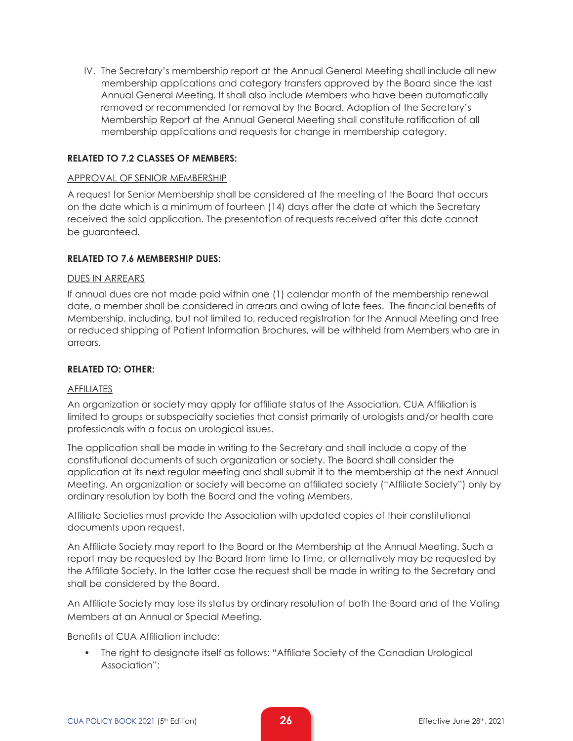IV. The Secretary's membership report at the Annual General Meeting shall include all new membership applications and category transfers approved by the Board since the last Annual General Meeting. It shall also include Members who have been automatically removed or recommended for removal by the Board. Adoption of the Secretary's Membership Report at the Annual General Meeting shall constitute ratification of all membership applications and requests for change in membership category.

#### **RELATED TO 7.2 CLASSES OF MEMBERS:**

#### APPROVAL OF SENIOR MEMBERSHIP

A request for Senior Membership shall be considered at the meeting of the Board that occurs on the date which is a minimum of fourteen (14) days after the date at which the Secretary received the said application. The presentation of requests received after this date cannot be guaranteed.

#### **RELATED TO 7.6 MEMBERSHIP DUES:**

#### DUES IN ARREARS

If annual dues are not made paid within one (1) calendar month of the membership renewal date, a member shall be considered in arrears and owing of late fees. The financial benefits of Membership, including, but not limited to, reduced registration for the Annual Meeting and free or reduced shipping of Patient Information Brochures, will be withheld from Members who are in arrears.

#### **RELATED TO: OTHER:**

#### AFFILIATES

An organization or society may apply for affiliate status of the Association. CUA Affiliation is limited to groups or subspecialty societies that consist primarily of urologists and/or health care professionals with a focus on urological issues.

The application shall be made in writing to the Secretary and shall include a copy of the constitutional documents of such organization or society. The Board shall consider the application at its next regular meeting and shall submit it to the membership at the next Annual Meeting. An organization or society will become an affiliated society ("Affiliate Society") only by ordinary resolution by both the Board and the voting Members.

Affiliate Societies must provide the Association with updated copies of their constitutional documents upon request.

An Affiliate Society may report to the Board or the Membership at the Annual Meeting. Such a report may be requested by the Board from time to time, or alternatively may be requested by the Affiliate Society. In the latter case the request shall be made in writing to the Secretary and shall be considered by the Board.

An Affiliate Society may lose its status by ordinary resolution of both the Board and of the Voting Members at an Annual or Special Meeting.

Benefits of CUA Affiliation include:

• The right to designate itself as follows: "Affiliate Society of the Canadian Urological Association";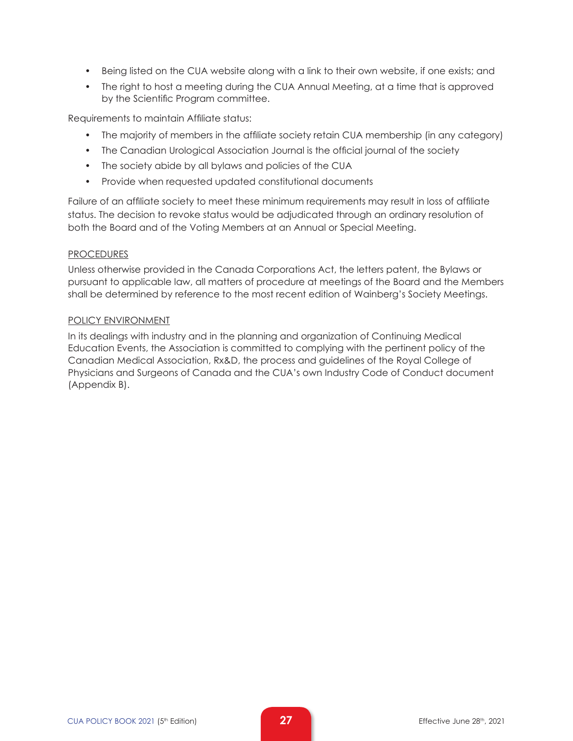- Being listed on the CUA website along with a link to their own website, if one exists; and
- The right to host a meeting during the CUA Annual Meeting, at a time that is approved by the Scientific Program committee.

Requirements to maintain Affiliate status:

- The majority of members in the affiliate society retain CUA membership (in any category)
- The Canadian Urological Association Journal is the official journal of the society
- The society abide by all bylaws and policies of the CUA
- Provide when requested updated constitutional documents

Failure of an affiliate society to meet these minimum requirements may result in loss of affiliate status. The decision to revoke status would be adjudicated through an ordinary resolution of both the Board and of the Voting Members at an Annual or Special Meeting.

#### **PROCEDURES**

Unless otherwise provided in the Canada Corporations Act, the letters patent, the Bylaws or pursuant to applicable law, all matters of procedure at meetings of the Board and the Members shall be determined by reference to the most recent edition of Wainberg's Society Meetings.

#### POLICY ENVIRONMENT

In its dealings with industry and in the planning and organization of Continuing Medical Education Events, the Association is committed to complying with the pertinent policy of the Canadian Medical Association, Rx&D, the process and guidelines of the Royal College of Physicians and Surgeons of Canada and the CUA's own Industry Code of Conduct document (Appendix B).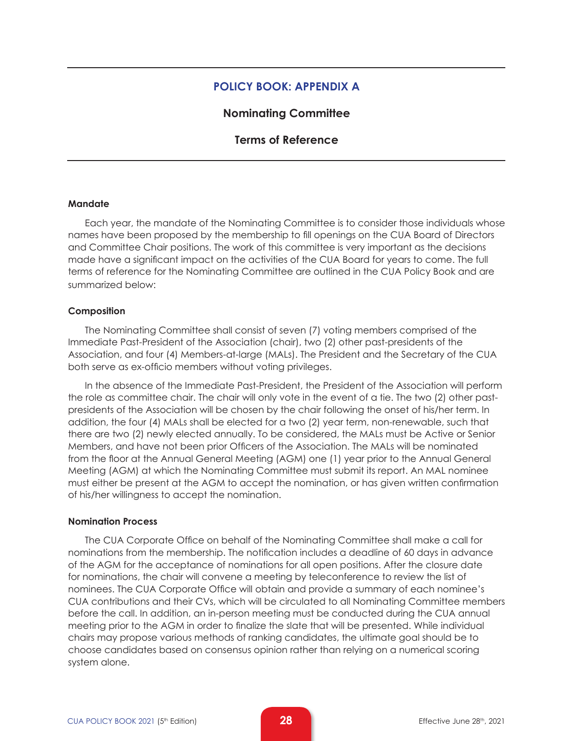#### **POLICY BOOK: APPENDIX A**

#### **Nominating Committee**

#### **Terms of Reference**

#### **Mandate**

Each year, the mandate of the Nominating Committee is to consider those individuals whose names have been proposed by the membership to fill openings on the CUA Board of Directors and Committee Chair positions. The work of this committee is very important as the decisions made have a significant impact on the activities of the CUA Board for years to come. The full terms of reference for the Nominating Committee are outlined in the CUA Policy Book and are summarized below:

#### **Composition**

The Nominating Committee shall consist of seven (7) voting members comprised of the Immediate Past-President of the Association (chair), two (2) other past-presidents of the Association, and four (4) Members-at-large (MALs). The President and the Secretary of the CUA both serve as ex-officio members without voting privileges.

In the absence of the Immediate Past-President, the President of the Association will perform the role as committee chair. The chair will only vote in the event of a tie. The two (2) other pastpresidents of the Association will be chosen by the chair following the onset of his/her term. In addition, the four (4) MALs shall be elected for a two (2) year term, non-renewable, such that there are two (2) newly elected annually. To be considered, the MALs must be Active or Senior Members, and have not been prior Officers of the Association. The MALs will be nominated from the floor at the Annual General Meeting (AGM) one (1) year prior to the Annual General Meeting (AGM) at which the Nominating Committee must submit its report. An MAL nominee must either be present at the AGM to accept the nomination, or has given written confirmation of his/her willingness to accept the nomination.

#### **Nomination Process**

The CUA Corporate Office on behalf of the Nominating Committee shall make a call for nominations from the membership. The notification includes a deadline of 60 days in advance of the AGM for the acceptance of nominations for all open positions. After the closure date for nominations, the chair will convene a meeting by teleconference to review the list of nominees. The CUA Corporate Office will obtain and provide a summary of each nominee's CUA contributions and their CVs, which will be circulated to all Nominating Committee members before the call. In addition, an in-person meeting must be conducted during the CUA annual meeting prior to the AGM in order to finalize the slate that will be presented. While individual chairs may propose various methods of ranking candidates, the ultimate goal should be to choose candidates based on consensus opinion rather than relying on a numerical scoring system alone.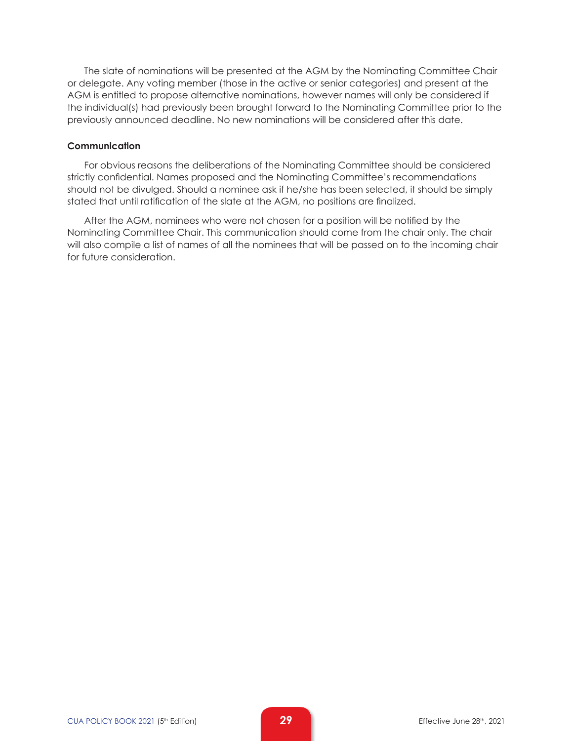The slate of nominations will be presented at the AGM by the Nominating Committee Chair or delegate. Any voting member (those in the active or senior categories) and present at the AGM is entitled to propose alternative nominations, however names will only be considered if the individual(s) had previously been brought forward to the Nominating Committee prior to the previously announced deadline. No new nominations will be considered after this date.

#### **Communication**

For obvious reasons the deliberations of the Nominating Committee should be considered strictly confidential. Names proposed and the Nominating Committee's recommendations should not be divulged. Should a nominee ask if he/she has been selected, it should be simply stated that until ratification of the slate at the AGM, no positions are finalized.

After the AGM, nominees who were not chosen for a position will be notified by the Nominating Committee Chair. This communication should come from the chair only. The chair will also compile a list of names of all the nominees that will be passed on to the incoming chair for future consideration.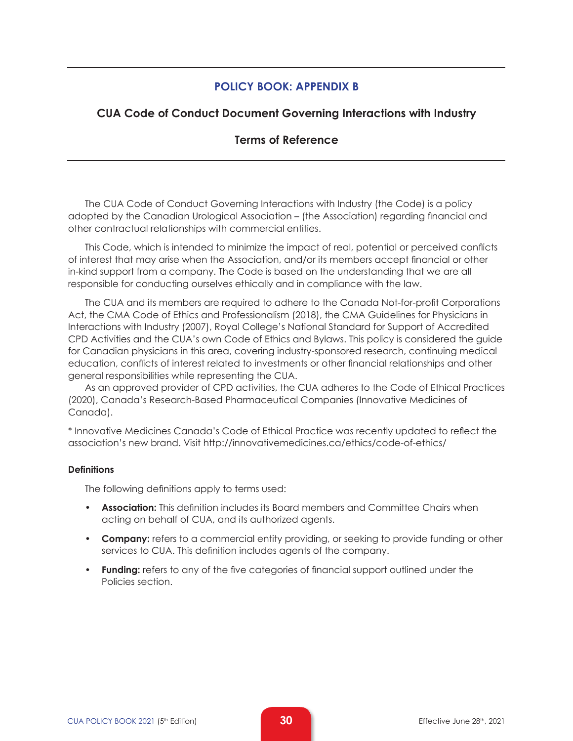# **POLICY BOOK: APPENDIX B**

# **CUA Code of Conduct Document Governing Interactions with Industry**

## **Terms of Reference**

The CUA Code of Conduct Governing Interactions with Industry (the Code) is a policy adopted by the Canadian Urological Association – (the Association) regarding financial and other contractual relationships with commercial entities.

This Code, which is intended to minimize the impact of real, potential or perceived conflicts of interest that may arise when the Association, and/or its members accept financial or other in-kind support from a company. The Code is based on the understanding that we are all responsible for conducting ourselves ethically and in compliance with the law.

The CUA and its members are required to adhere to the Canada Not-for-profit Corporations Act, the CMA Code of Ethics and Professionalism (2018), the CMA Guidelines for Physicians in Interactions with Industry (2007), Royal College's National Standard for Support of Accredited CPD Activities and the CUA's own Code of Ethics and Bylaws. This policy is considered the guide for Canadian physicians in this area, covering industry-sponsored research, continuing medical education, conflicts of interest related to investments or other financial relationships and other general responsibilities while representing the CUA.

As an approved provider of CPD activities, the CUA adheres to the Code of Ethical Practices (2020), Canada's Research-Based Pharmaceutical Companies (Innovative Medicines of Canada).

\* Innovative Medicines Canada's Code of Ethical Practice was recently updated to reflect the association's new brand. Visit http://innovativemedicines.ca/ethics/code-of-ethics/

#### **Definitions**

The following definitions apply to terms used:

- **Association:** This definition includes its Board members and Committee Chairs when acting on behalf of CUA, and its authorized agents.
- **Company:** refers to a commercial entity providing, or seeking to provide funding or other services to CUA. This definition includes agents of the company.
- **Funding:** refers to any of the five categories of financial support outlined under the Policies section.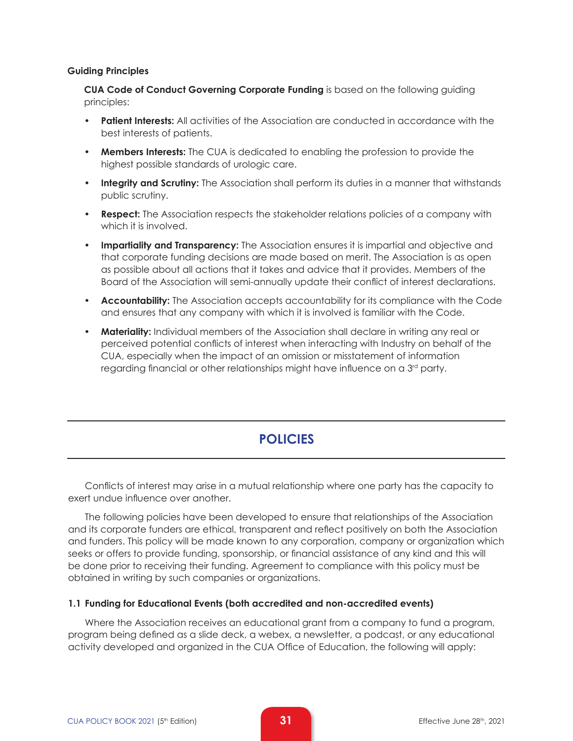#### **Guiding Principles**

**CUA Code of Conduct Governing Corporate Funding** is based on the following guiding principles:

- **Patient Interests:** All activities of the Association are conducted in accordance with the best interests of patients.
- **Members Interests:** The CUA is dedicated to enabling the profession to provide the highest possible standards of urologic care.
- **Integrity and Scrutiny:** The Association shall perform its duties in a manner that withstands public scrutiny.
- **Respect:** The Association respects the stakeholder relations policies of a company with which it is involved.
- **Impartiality and Transparency:** The Association ensures it is impartial and objective and that corporate funding decisions are made based on merit. The Association is as open as possible about all actions that it takes and advice that it provides. Members of the Board of the Association will semi-annually update their conflict of interest declarations.
- **Accountability:** The Association accepts accountability for its compliance with the Code and ensures that any company with which it is involved is familiar with the Code.
- **Materiality:** Individual members of the Association shall declare in writing any real or perceived potential conflicts of interest when interacting with Industry on behalf of the CUA, especially when the impact of an omission or misstatement of information regarding financial or other relationships might have influence on a 3<sup>rd</sup> party.

# **POLICIES**

Conflicts of interest may arise in a mutual relationship where one party has the capacity to exert undue influence over another.

The following policies have been developed to ensure that relationships of the Association and its corporate funders are ethical, transparent and reflect positively on both the Association and funders. This policy will be made known to any corporation, company or organization which seeks or offers to provide funding, sponsorship, or financial assistance of any kind and this will be done prior to receiving their funding. Agreement to compliance with this policy must be obtained in writing by such companies or organizations.

#### **1.1 Funding for Educational Events (both accredited and non-accredited events)**

Where the Association receives an educational grant from a company to fund a program, program being defined as a slide deck, a webex, a newsletter, a podcast, or any educational activity developed and organized in the CUA Office of Education, the following will apply: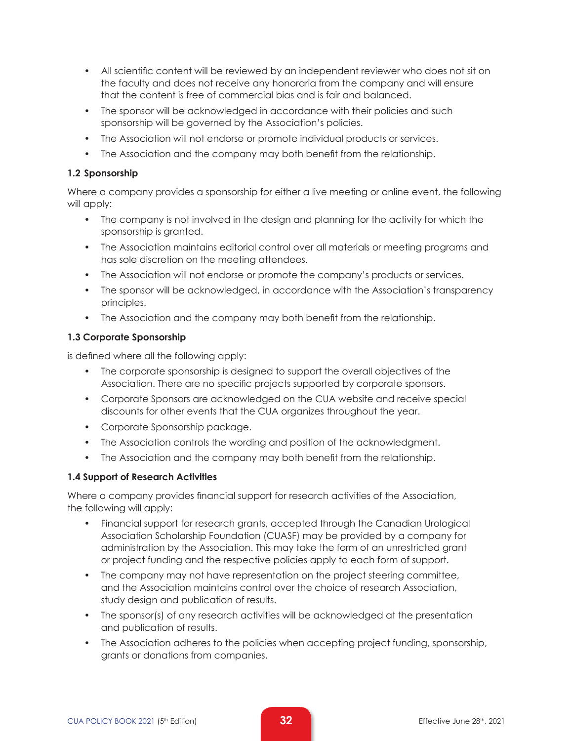- All scientific content will be reviewed by an independent reviewer who does not sit on the faculty and does not receive any honoraria from the company and will ensure that the content is free of commercial bias and is fair and balanced.
- The sponsor will be acknowledged in accordance with their policies and such sponsorship will be governed by the Association's policies.
- The Association will not endorse or promote individual products or services.
- The Association and the company may both benefit from the relationship.

#### **1.2 Sponsorship**

Where a company provides a sponsorship for either a live meeting or online event, the following will apply:

- The company is not involved in the design and planning for the activity for which the sponsorship is granted.
- The Association maintains editorial control over all materials or meeting programs and has sole discretion on the meeting attendees.
- The Association will not endorse or promote the company's products or services.
- The sponsor will be acknowledged, in accordance with the Association's transparency principles.
- The Association and the company may both benefit from the relationship.

#### **1.3 Corporate Sponsorship**

is defined where all the following apply:

- The corporate sponsorship is designed to support the overall objectives of the Association. There are no specific projects supported by corporate sponsors.
- Corporate Sponsors are acknowledged on the CUA website and receive special discounts for other events that the CUA organizes throughout the year.
- Corporate Sponsorship package.
- The Association controls the wording and position of the acknowledgment.
- The Association and the company may both benefit from the relationship.

#### **1.4 Support of Research Activities**

Where a company provides financial support for research activities of the Association, the following will apply:

- Financial support for research grants, accepted through the Canadian Urological Association Scholarship Foundation (CUASF) may be provided by a company for administration by the Association. This may take the form of an unrestricted grant or project funding and the respective policies apply to each form of support.
- The company may not have representation on the project steering committee, and the Association maintains control over the choice of research Association, study design and publication of results.
- The sponsor(s) of any research activities will be acknowledged at the presentation and publication of results.
- The Association adheres to the policies when accepting project funding, sponsorship, grants or donations from companies.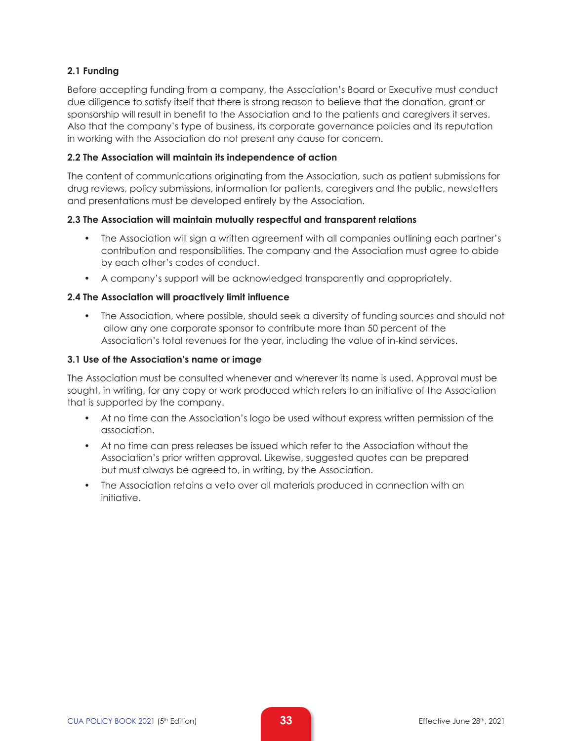## **2.1 Funding**

Before accepting funding from a company, the Association's Board or Executive must conduct due diligence to satisfy itself that there is strong reason to believe that the donation, grant or sponsorship will result in benefit to the Association and to the patients and caregivers it serves. Also that the company's type of business, its corporate governance policies and its reputation in working with the Association do not present any cause for concern.

#### **2.2 The Association will maintain its independence of action**

The content of communications originating from the Association, such as patient submissions for drug reviews, policy submissions, information for patients, caregivers and the public, newsletters and presentations must be developed entirely by the Association.

#### **2.3 The Association will maintain mutually respectful and transparent relations**

- The Association will sign a written agreement with all companies outlining each partner's contribution and responsibilities. The company and the Association must agree to abide by each other's codes of conduct.
- A company's support will be acknowledged transparently and appropriately.

#### **2.4 The Association will proactively limit influence**

• The Association, where possible, should seek a diversity of funding sources and should not allow any one corporate sponsor to contribute more than 50 percent of the Association's total revenues for the year, including the value of in-kind services.

#### **3.1 Use of the Association's name or image**

The Association must be consulted whenever and wherever its name is used. Approval must be sought, in writing, for any copy or work produced which refers to an initiative of the Association that is supported by the company.

- At no time can the Association's logo be used without express written permission of the association.
- At no time can press releases be issued which refer to the Association without the Association's prior written approval. Likewise, suggested quotes can be prepared but must always be agreed to, in writing, by the Association.
- The Association retains a veto over all materials produced in connection with an initiative.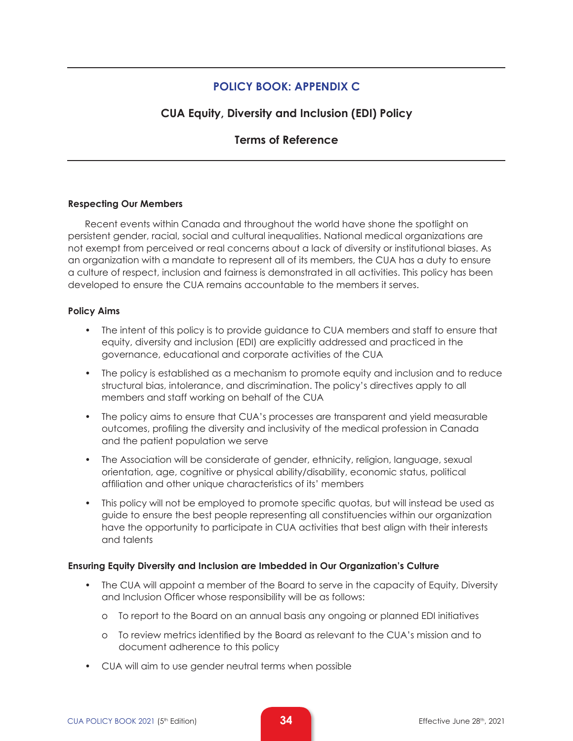# **POLICY BOOK: APPENDIX C**

# **CUA Equity, Diversity and Inclusion (EDI) Policy**

# **Terms of Reference**

#### **Respecting Our Members**

Recent events within Canada and throughout the world have shone the spotlight on persistent gender, racial, social and cultural inequalities. National medical organizations are not exempt from perceived or real concerns about a lack of diversity or institutional biases. As an organization with a mandate to represent all of its members, the CUA has a duty to ensure a culture of respect, inclusion and fairness is demonstrated in all activities. This policy has been developed to ensure the CUA remains accountable to the members it serves.

#### **Policy Aims**

- The intent of this policy is to provide guidance to CUA members and staff to ensure that equity, diversity and inclusion (EDI) are explicitly addressed and practiced in the governance, educational and corporate activities of the CUA
- The policy is established as a mechanism to promote equity and inclusion and to reduce structural bias, intolerance, and discrimination. The policy's directives apply to all members and staff working on behalf of the CUA
- The policy aims to ensure that CUA's processes are transparent and yield measurable outcomes, profiling the diversity and inclusivity of the medical profession in Canada and the patient population we serve
- The Association will be considerate of gender, ethnicity, religion, language, sexual orientation, age, cognitive or physical ability/disability, economic status, political affiliation and other unique characteristics of its' members
- This policy will not be employed to promote specific quotas, but will instead be used as guide to ensure the best people representing all constituencies within our organization have the opportunity to participate in CUA activities that best align with their interests and talents

#### **Ensuring Equity Diversity and Inclusion are Imbedded in Our Organization's Culture**

- The CUA will appoint a member of the Board to serve in the capacity of Equity, Diversity and Inclusion Officer whose responsibility will be as follows:
	- o To report to the Board on an annual basis any ongoing or planned EDI initiatives
	- o To review metrics identified by the Board as relevant to the CUA's mission and to document adherence to this policy
- CUA will aim to use gender neutral terms when possible